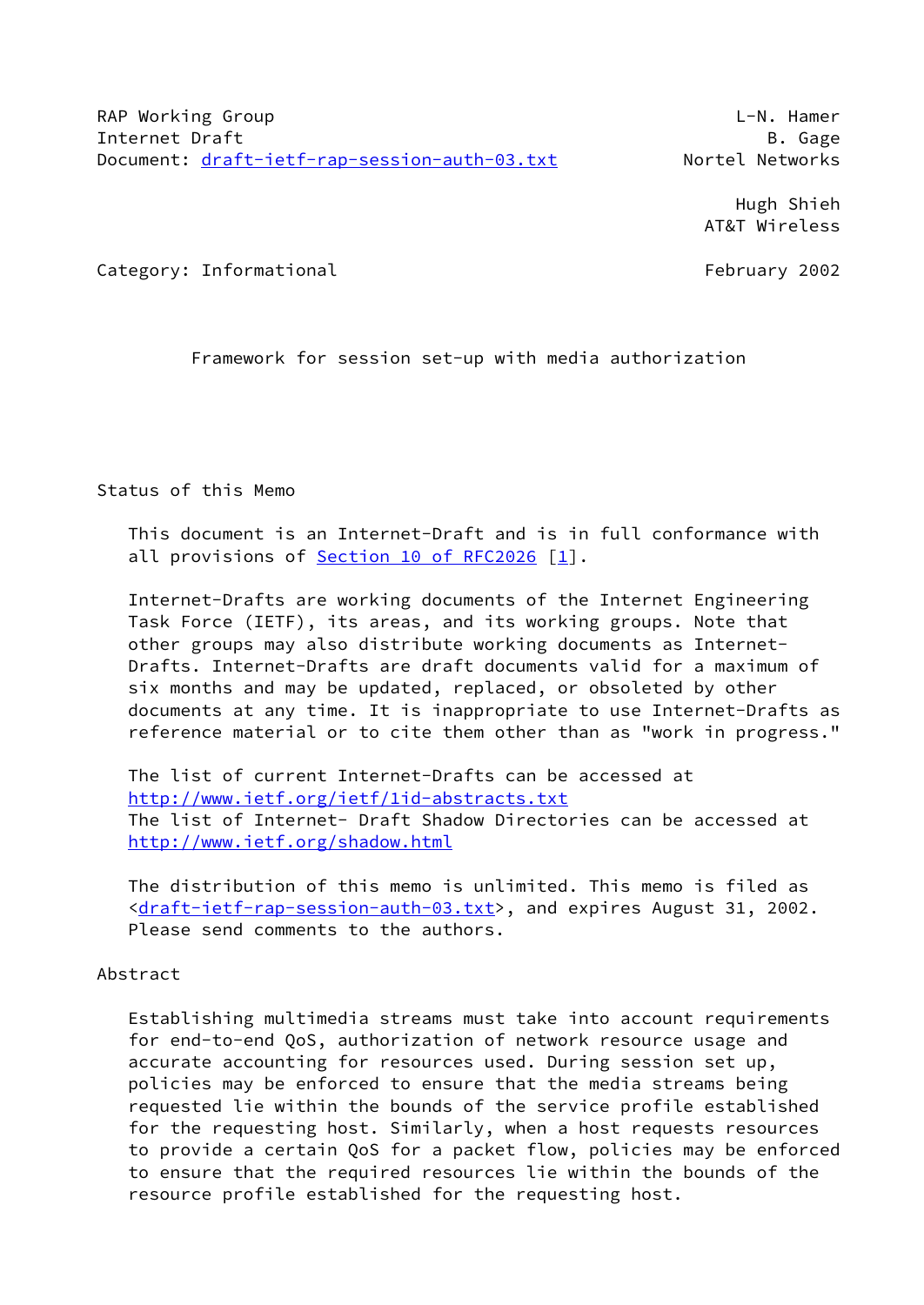Hugh Shieh AT&T Wireless

Category: Informational example of the category: The February 2002

Framework for session set-up with media authorization

Status of this Memo

 This document is an Internet-Draft and is in full conformance with all provisions of Section [10 of RFC2026](https://datatracker.ietf.org/doc/pdf/rfc2026#section-10) [\[1](#page-26-0)].

 Internet-Drafts are working documents of the Internet Engineering Task Force (IETF), its areas, and its working groups. Note that other groups may also distribute working documents as Internet- Drafts. Internet-Drafts are draft documents valid for a maximum of six months and may be updated, replaced, or obsoleted by other documents at any time. It is inappropriate to use Internet-Drafts as reference material or to cite them other than as "work in progress."

 The list of current Internet-Drafts can be accessed at <http://www.ietf.org/ietf/1id-abstracts.txt> The list of Internet- Draft Shadow Directories can be accessed at <http://www.ietf.org/shadow.html>

 The distribution of this memo is unlimited. This memo is filed as [<draft-ietf-rap-session-auth-03.txt>](https://datatracker.ietf.org/doc/pdf/draft-ietf-rap-session-auth-03.txt), and expires August 31, 2002. Please send comments to the authors.

Abstract

 Establishing multimedia streams must take into account requirements for end-to-end QoS, authorization of network resource usage and accurate accounting for resources used. During session set up, policies may be enforced to ensure that the media streams being requested lie within the bounds of the service profile established for the requesting host. Similarly, when a host requests resources to provide a certain QoS for a packet flow, policies may be enforced to ensure that the required resources lie within the bounds of the resource profile established for the requesting host.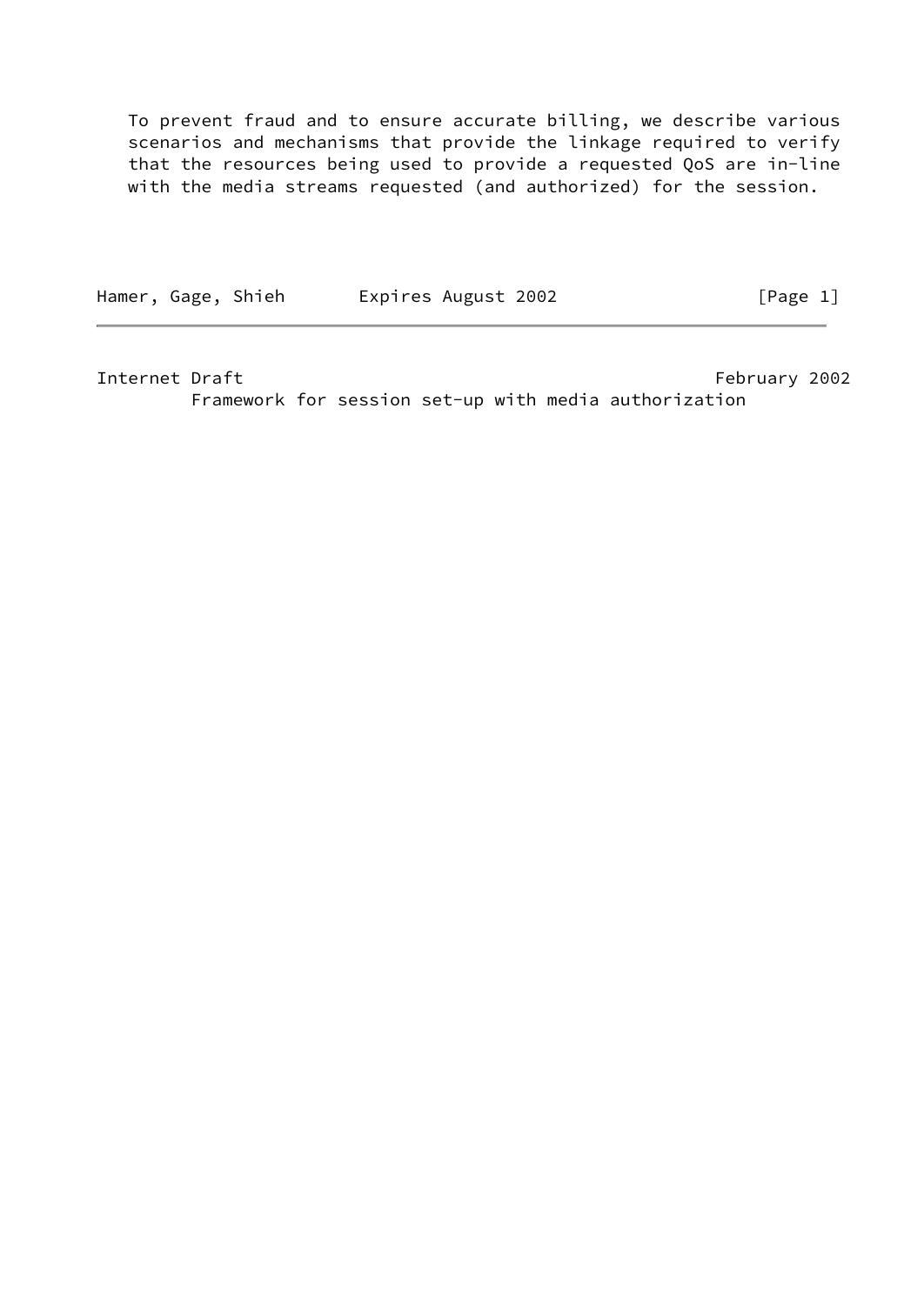To prevent fraud and to ensure accurate billing, we describe various scenarios and mechanisms that provide the linkage required to verify that the resources being used to provide a requested QoS are in-line with the media streams requested (and authorized) for the session.

Hamer, Gage, Shieh Expires August 2002 [Page 1]

Internet Draft February 2002

Framework for session set-up with media authorization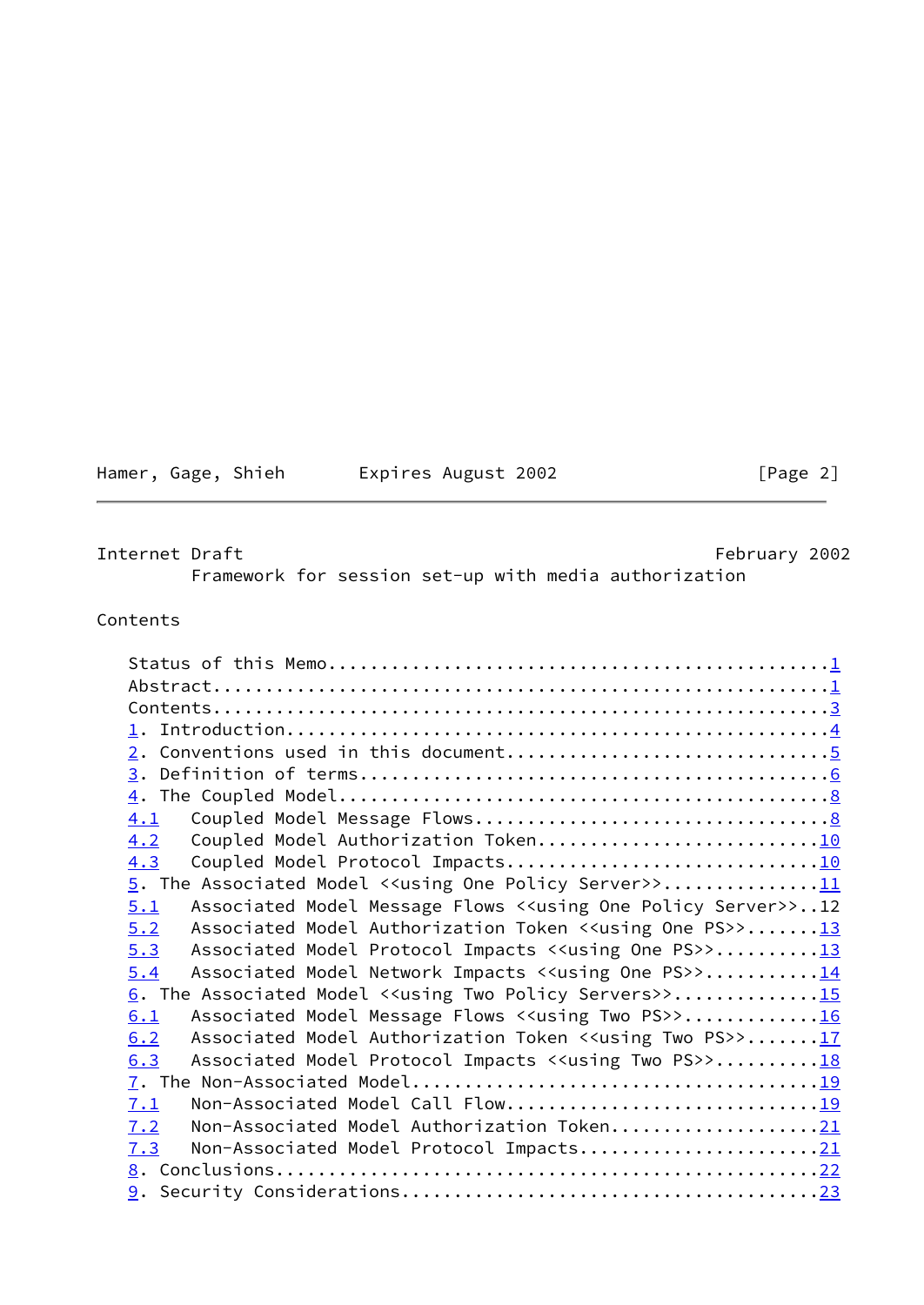| Hamer, Gage, Shieh |  | Expires August 2002 | [Page 2] |  |
|--------------------|--|---------------------|----------|--|
|                    |  |                     |          |  |

<span id="page-2-0"></span>Internet Draft February 2002

Framework for session set-up with media authorization

# Contents

| 4.2                                                                                       |                                                                                                                          |
|-------------------------------------------------------------------------------------------|--------------------------------------------------------------------------------------------------------------------------|
| 4.3                                                                                       |                                                                                                                          |
|                                                                                           |                                                                                                                          |
| Associated Model Message Flows < <using one="" policy="" server="">&gt;12<br/>5.1</using> |                                                                                                                          |
| Associated Model Authorization Token < <using one="" ps="">&gt;13<br/>5.2</using>         |                                                                                                                          |
| Associated Model Protocol Impacts < <using one="" ps="">&gt;13<br/>5.3</using>            |                                                                                                                          |
| Associated Model Network Impacts < <using one="" ps="">&gt;14<br/>5.4</using>             |                                                                                                                          |
| 6. The Associated Model < <using policy="" servers="" two="">&gt;15</using>               |                                                                                                                          |
| Associated Model Message Flows < <using ps="" two="">&gt;16<br/>6.1</using>               |                                                                                                                          |
| Associated Model Authorization Token < <using ps="" two="">&gt;17<br/>6.2</using>         |                                                                                                                          |
| Associated Model Protocol Impacts < <using ps="" two="">&gt;18<br/>6.3</using>            |                                                                                                                          |
|                                                                                           |                                                                                                                          |
| Non-Associated Model Call Flow19<br>7.1                                                   |                                                                                                                          |
| Non-Associated Model Authorization Token21<br>7.2                                         |                                                                                                                          |
| Non-Associated Model Protocol Impacts21<br>7.3                                            |                                                                                                                          |
|                                                                                           |                                                                                                                          |
|                                                                                           |                                                                                                                          |
|                                                                                           | 4.1<br>Coupled Model Authorization Token10<br>5. The Associated Model < <using one="" policy="" server="">&gt;11</using> |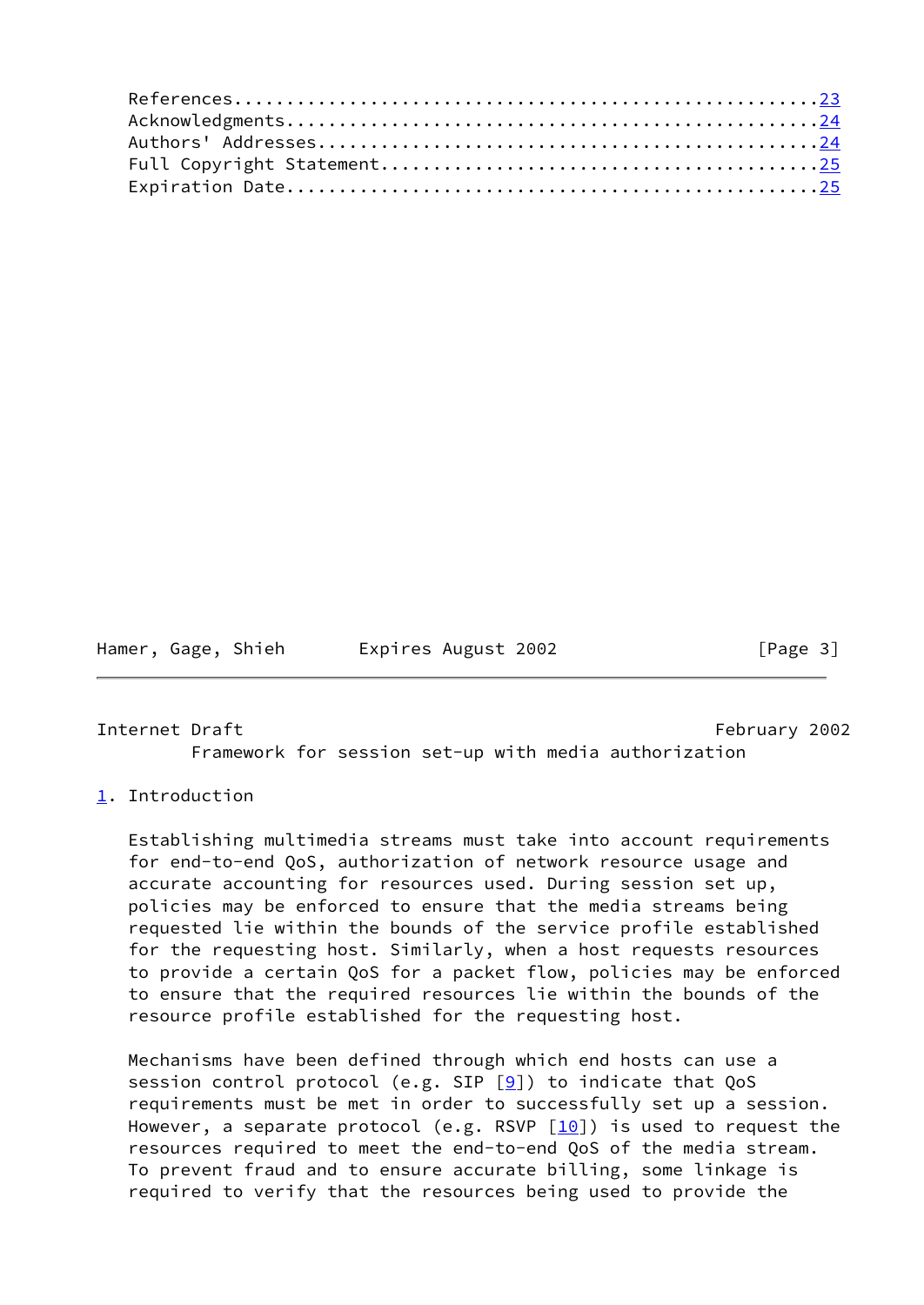Hamer, Gage, Shieh Expires August 2002 [Page 3]

<span id="page-3-1"></span>Internet Draft February 2002 Framework for session set-up with media authorization

# <span id="page-3-0"></span>[1](#page-3-0). Introduction

 Establishing multimedia streams must take into account requirements for end-to-end QoS, authorization of network resource usage and accurate accounting for resources used. During session set up, policies may be enforced to ensure that the media streams being requested lie within the bounds of the service profile established for the requesting host. Similarly, when a host requests resources to provide a certain QoS for a packet flow, policies may be enforced to ensure that the required resources lie within the bounds of the resource profile established for the requesting host.

 Mechanisms have been defined through which end hosts can use a session control protocol (e.g. SIP  $[9]$  $[9]$ ) to indicate that QoS requirements must be met in order to successfully set up a session. However, a separate protocol (e.g. RSVP  $[10]$ ) is used to request the resources required to meet the end-to-end QoS of the media stream. To prevent fraud and to ensure accurate billing, some linkage is required to verify that the resources being used to provide the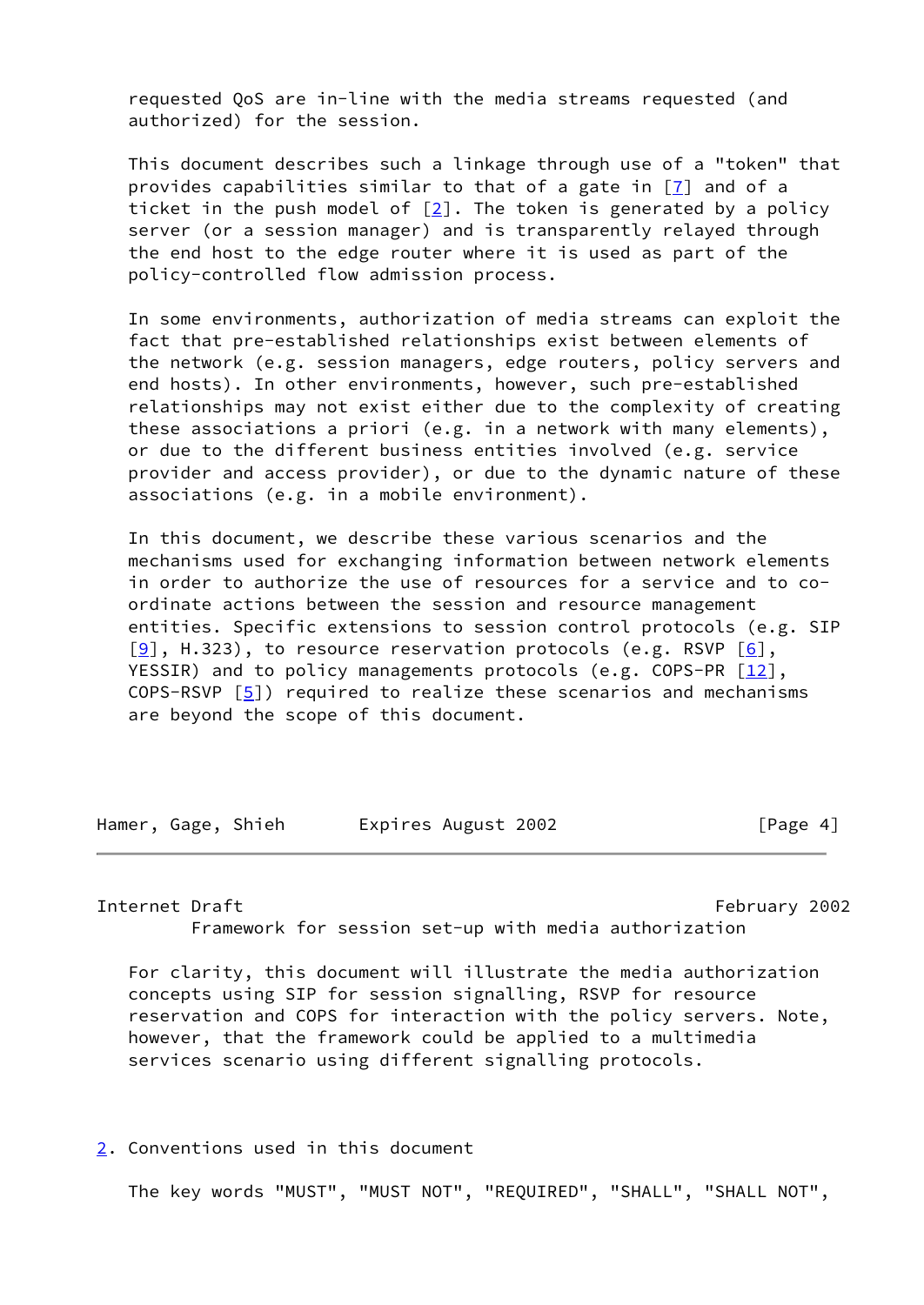requested QoS are in-line with the media streams requested (and authorized) for the session.

 This document describes such a linkage through use of a "token" that provides capabilities similar to that of a gate in  $[7]$  $[7]$  and of a ticket in the push model of  $[2]$  $[2]$ . The token is generated by a policy server (or a session manager) and is transparently relayed through the end host to the edge router where it is used as part of the policy-controlled flow admission process.

 In some environments, authorization of media streams can exploit the fact that pre-established relationships exist between elements of the network (e.g. session managers, edge routers, policy servers and end hosts). In other environments, however, such pre-established relationships may not exist either due to the complexity of creating these associations a priori (e.g. in a network with many elements), or due to the different business entities involved (e.g. service provider and access provider), or due to the dynamic nature of these associations (e.g. in a mobile environment).

 In this document, we describe these various scenarios and the mechanisms used for exchanging information between network elements in order to authorize the use of resources for a service and to co ordinate actions between the session and resource management entities. Specific extensions to session control protocols (e.g. SIP  $[9]$  $[9]$ , H.323), to resource reservation protocols (e.g. RSVP  $[6]$  $[6]$ , YESSIR) and to policy managements protocols (e.g. COPS-PR  $[12]$  $[12]$ , COPS-RSVP  $[5]$  $[5]$ ) required to realize these scenarios and mechanisms are beyond the scope of this document.

Hamer, Gage, Shieh Expires August 2002 [Page 4]

<span id="page-4-1"></span>Internet Draft February 2002 Framework for session set-up with media authorization

 For clarity, this document will illustrate the media authorization concepts using SIP for session signalling, RSVP for resource reservation and COPS for interaction with the policy servers. Note, however, that the framework could be applied to a multimedia services scenario using different signalling protocols.

<span id="page-4-0"></span>[2](#page-4-0). Conventions used in this document

The key words "MUST", "MUST NOT", "REQUIRED", "SHALL", "SHALL NOT",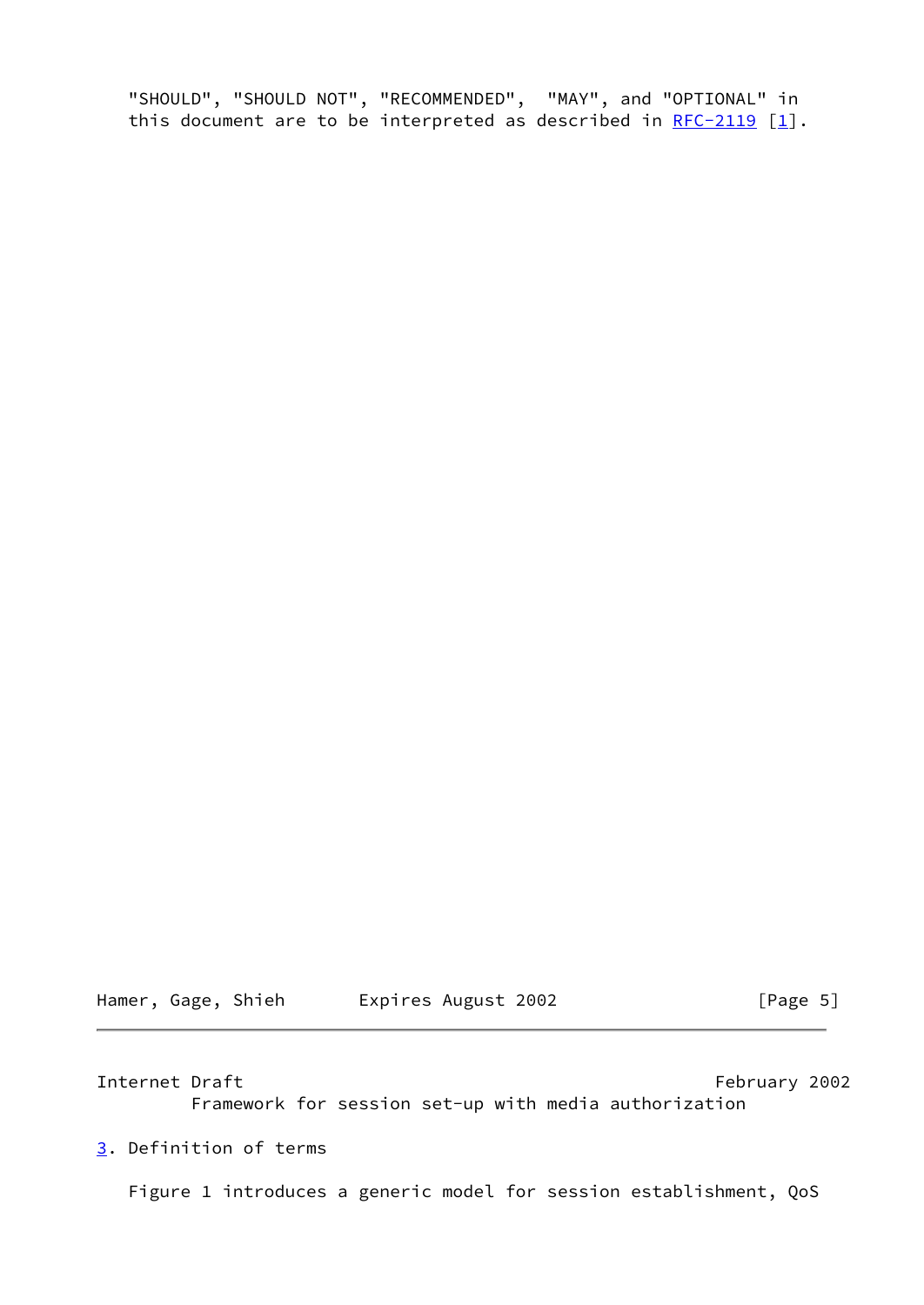"SHOULD", "SHOULD NOT", "RECOMMENDED", "MAY", and "OPTIONAL" in this document are to be interpreted as described in  $RFC-2119$  [\[1\]](#page-26-0).

Hamer, Gage, Shieh Expires August 2002 [Page 5]

<span id="page-5-1"></span>Internet Draft February 2002

Framework for session set-up with media authorization

<span id="page-5-0"></span>[3](#page-5-0). Definition of terms

Figure 1 introduces a generic model for session establishment, QoS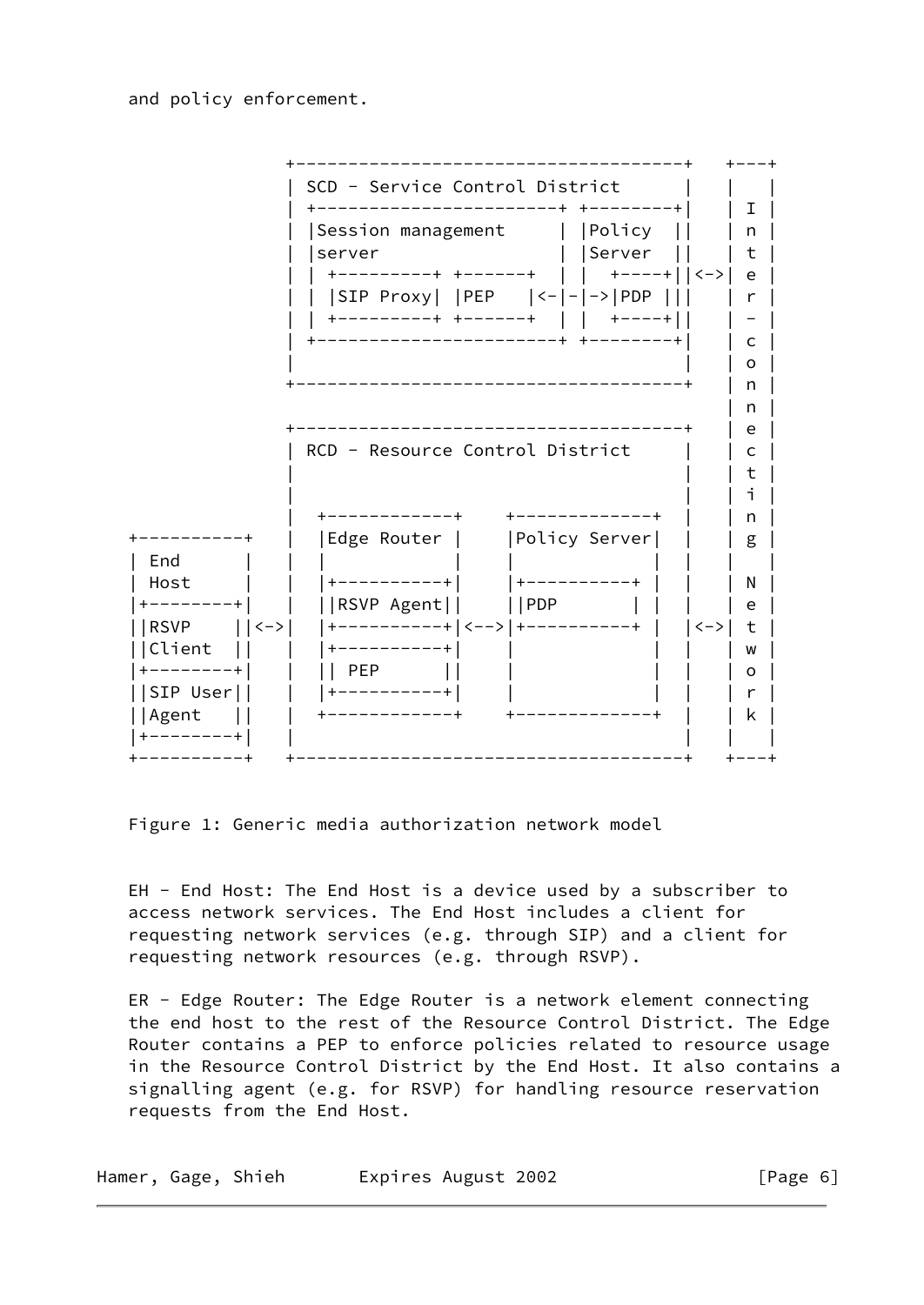and policy enforcement.



Figure 1: Generic media authorization network model

 EH - End Host: The End Host is a device used by a subscriber to access network services. The End Host includes a client for requesting network services (e.g. through SIP) and a client for requesting network resources (e.g. through RSVP).

 ER - Edge Router: The Edge Router is a network element connecting the end host to the rest of the Resource Control District. The Edge Router contains a PEP to enforce policies related to resource usage in the Resource Control District by the End Host. It also contains a signalling agent (e.g. for RSVP) for handling resource reservation requests from the End Host.

|  |  | Hamer, Gage, Shieh | Expires August 2002 | [Page 6] |
|--|--|--------------------|---------------------|----------|
|--|--|--------------------|---------------------|----------|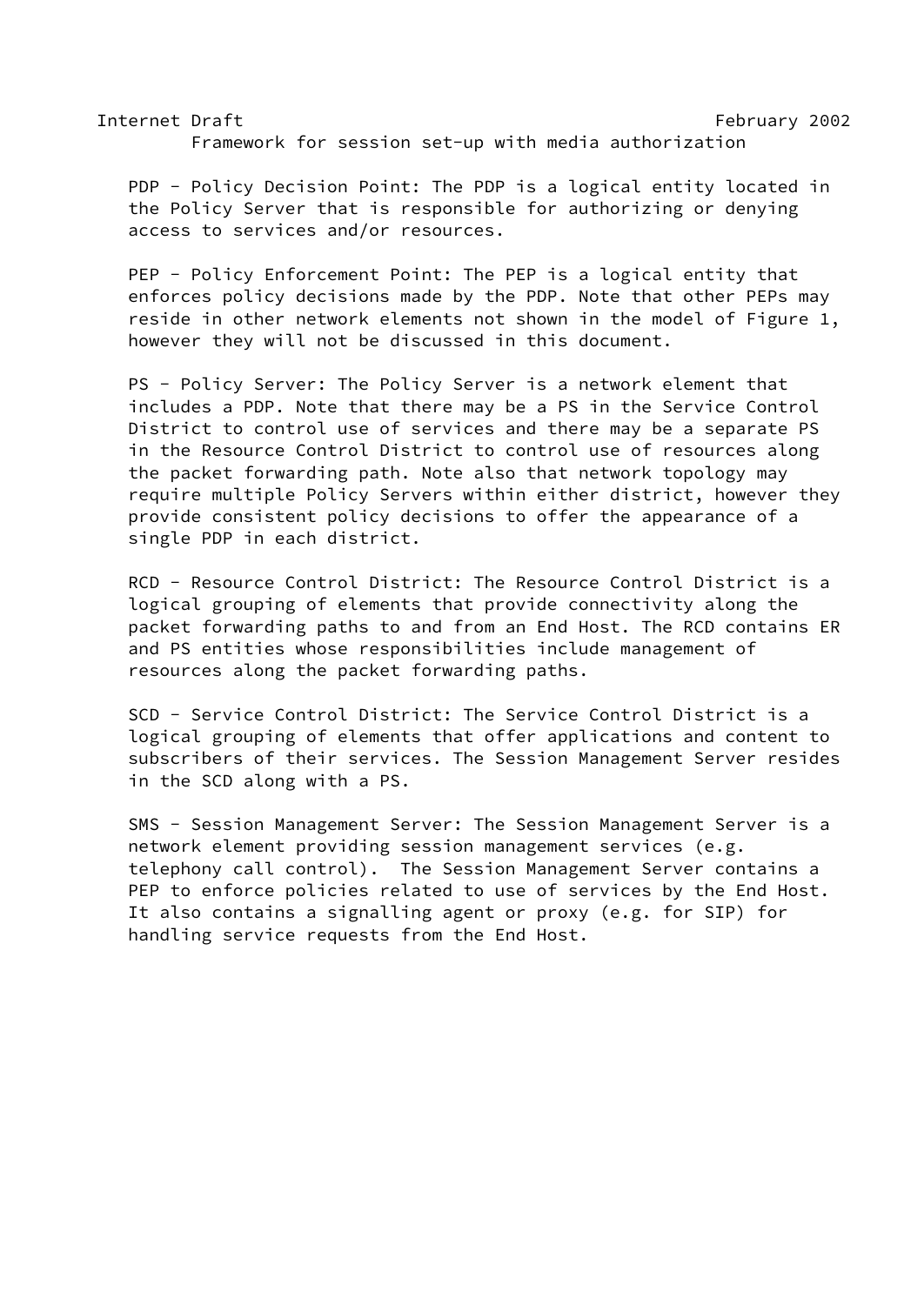Internet Draft February 2002 Framework for session set-up with media authorization

 PDP - Policy Decision Point: The PDP is a logical entity located in the Policy Server that is responsible for authorizing or denying access to services and/or resources.

 PEP - Policy Enforcement Point: The PEP is a logical entity that enforces policy decisions made by the PDP. Note that other PEPs may reside in other network elements not shown in the model of Figure 1, however they will not be discussed in this document.

 PS - Policy Server: The Policy Server is a network element that includes a PDP. Note that there may be a PS in the Service Control District to control use of services and there may be a separate PS in the Resource Control District to control use of resources along the packet forwarding path. Note also that network topology may require multiple Policy Servers within either district, however they provide consistent policy decisions to offer the appearance of a single PDP in each district.

 RCD - Resource Control District: The Resource Control District is a logical grouping of elements that provide connectivity along the packet forwarding paths to and from an End Host. The RCD contains ER and PS entities whose responsibilities include management of resources along the packet forwarding paths.

 SCD - Service Control District: The Service Control District is a logical grouping of elements that offer applications and content to subscribers of their services. The Session Management Server resides in the SCD along with a PS.

 SMS - Session Management Server: The Session Management Server is a network element providing session management services (e.g. telephony call control). The Session Management Server contains a PEP to enforce policies related to use of services by the End Host. It also contains a signalling agent or proxy (e.g. for SIP) for handling service requests from the End Host.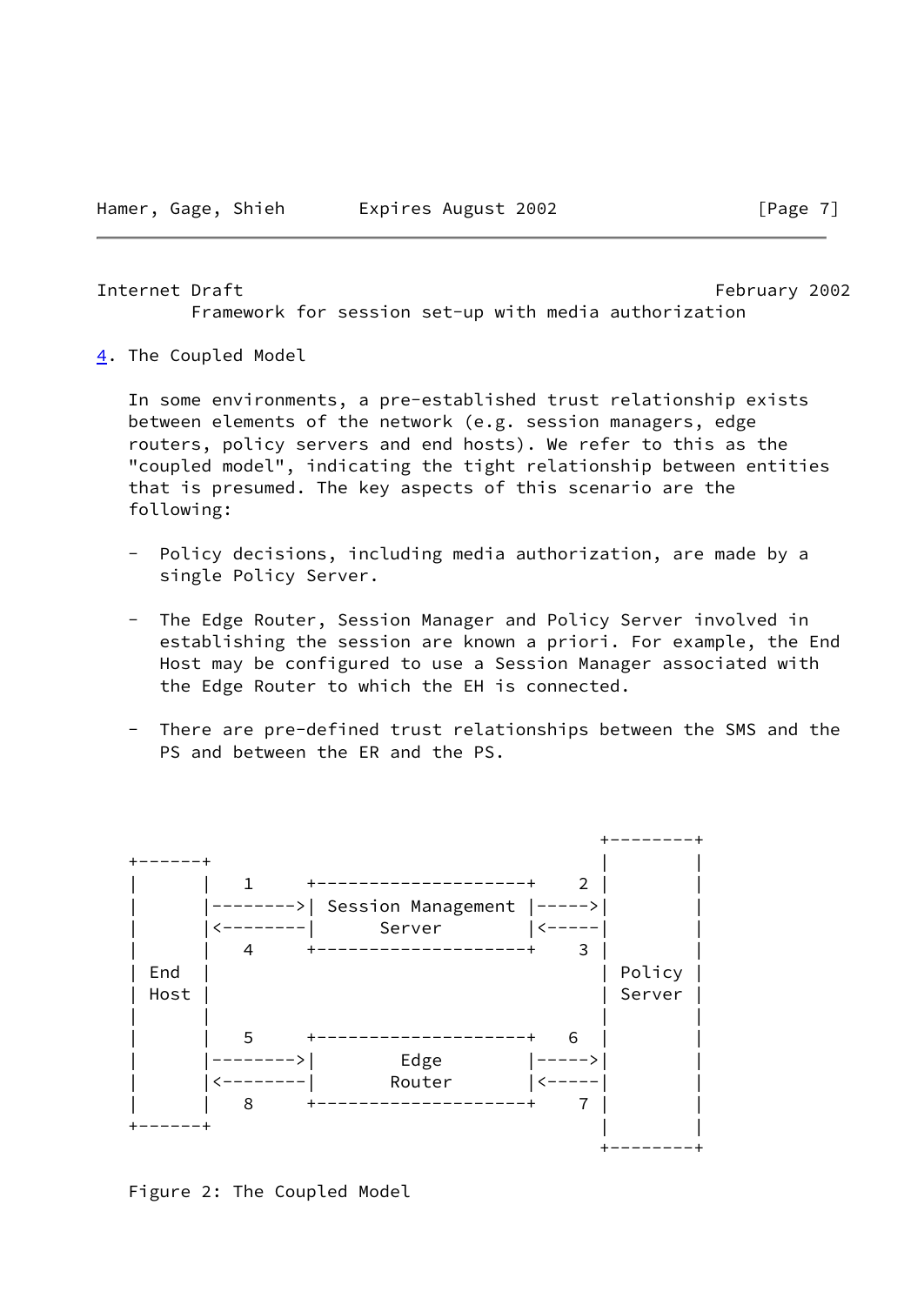#### <span id="page-8-1"></span>Internet Draft February 2002

Framework for session set-up with media authorization

<span id="page-8-0"></span>[4](#page-8-0). The Coupled Model

 In some environments, a pre-established trust relationship exists between elements of the network (e.g. session managers, edge routers, policy servers and end hosts). We refer to this as the "coupled model", indicating the tight relationship between entities that is presumed. The key aspects of this scenario are the following:

- Policy decisions, including media authorization, are made by a single Policy Server.
- The Edge Router, Session Manager and Policy Server involved in establishing the session are known a priori. For example, the End Host may be configured to use a Session Manager associated with the Edge Router to which the EH is connected.
- There are pre-defined trust relationships between the SMS and the PS and between the ER and the PS.



Figure 2: The Coupled Model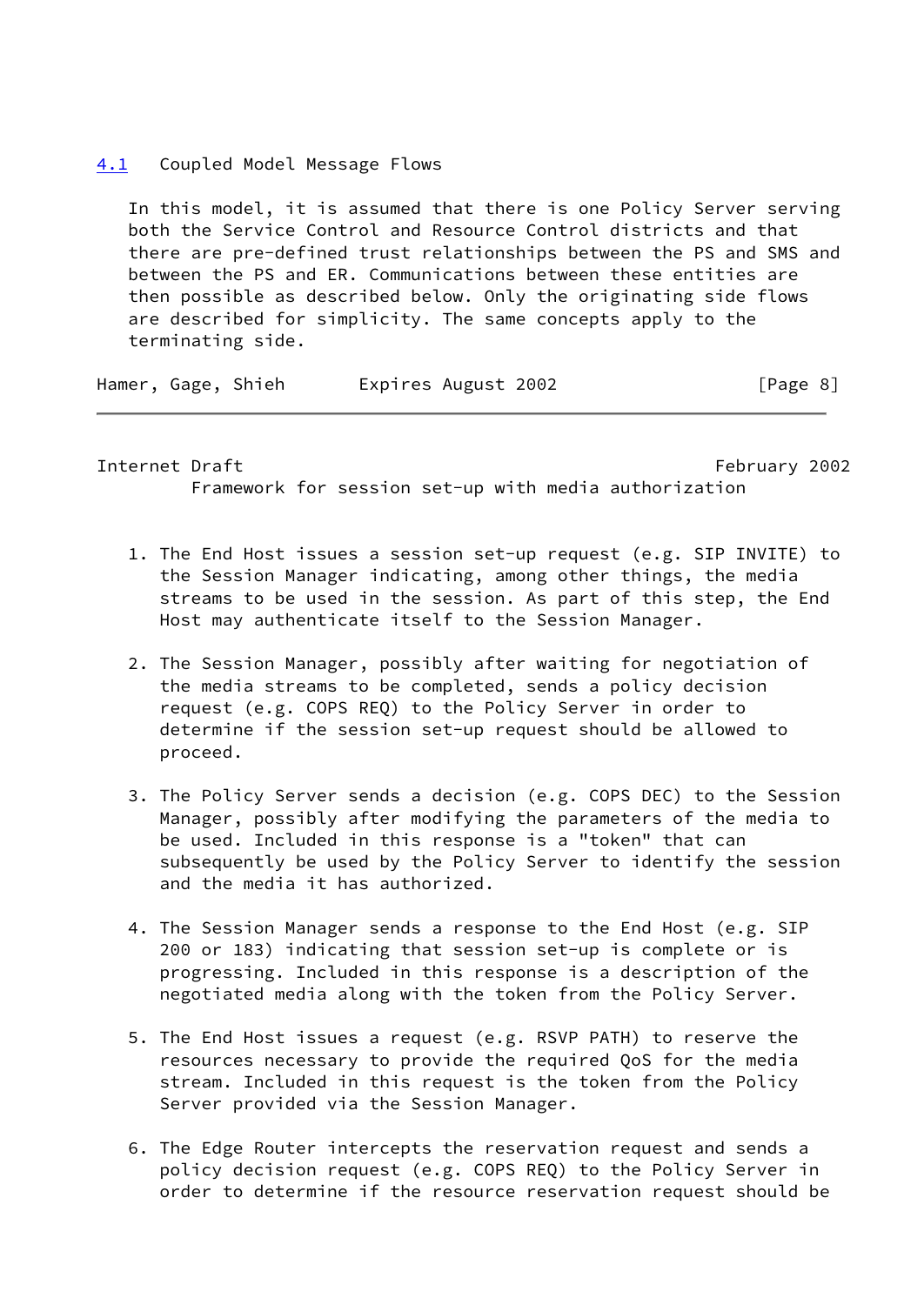#### <span id="page-9-0"></span>[4.1](#page-9-0) Coupled Model Message Flows

 In this model, it is assumed that there is one Policy Server serving both the Service Control and Resource Control districts and that there are pre-defined trust relationships between the PS and SMS and between the PS and ER. Communications between these entities are then possible as described below. Only the originating side flows are described for simplicity. The same concepts apply to the terminating side.

Hamer, Gage, Shieh Expires August 2002 [Page 8]

Internet Draft February 2002 Framework for session set-up with media authorization

- 1. The End Host issues a session set-up request (e.g. SIP INVITE) to the Session Manager indicating, among other things, the media streams to be used in the session. As part of this step, the End Host may authenticate itself to the Session Manager.
- 2. The Session Manager, possibly after waiting for negotiation of the media streams to be completed, sends a policy decision request (e.g. COPS REQ) to the Policy Server in order to determine if the session set-up request should be allowed to proceed.
- 3. The Policy Server sends a decision (e.g. COPS DEC) to the Session Manager, possibly after modifying the parameters of the media to be used. Included in this response is a "token" that can subsequently be used by the Policy Server to identify the session and the media it has authorized.
- 4. The Session Manager sends a response to the End Host (e.g. SIP 200 or 183) indicating that session set-up is complete or is progressing. Included in this response is a description of the negotiated media along with the token from the Policy Server.
- 5. The End Host issues a request (e.g. RSVP PATH) to reserve the resources necessary to provide the required QoS for the media stream. Included in this request is the token from the Policy Server provided via the Session Manager.
- 6. The Edge Router intercepts the reservation request and sends a policy decision request (e.g. COPS REQ) to the Policy Server in order to determine if the resource reservation request should be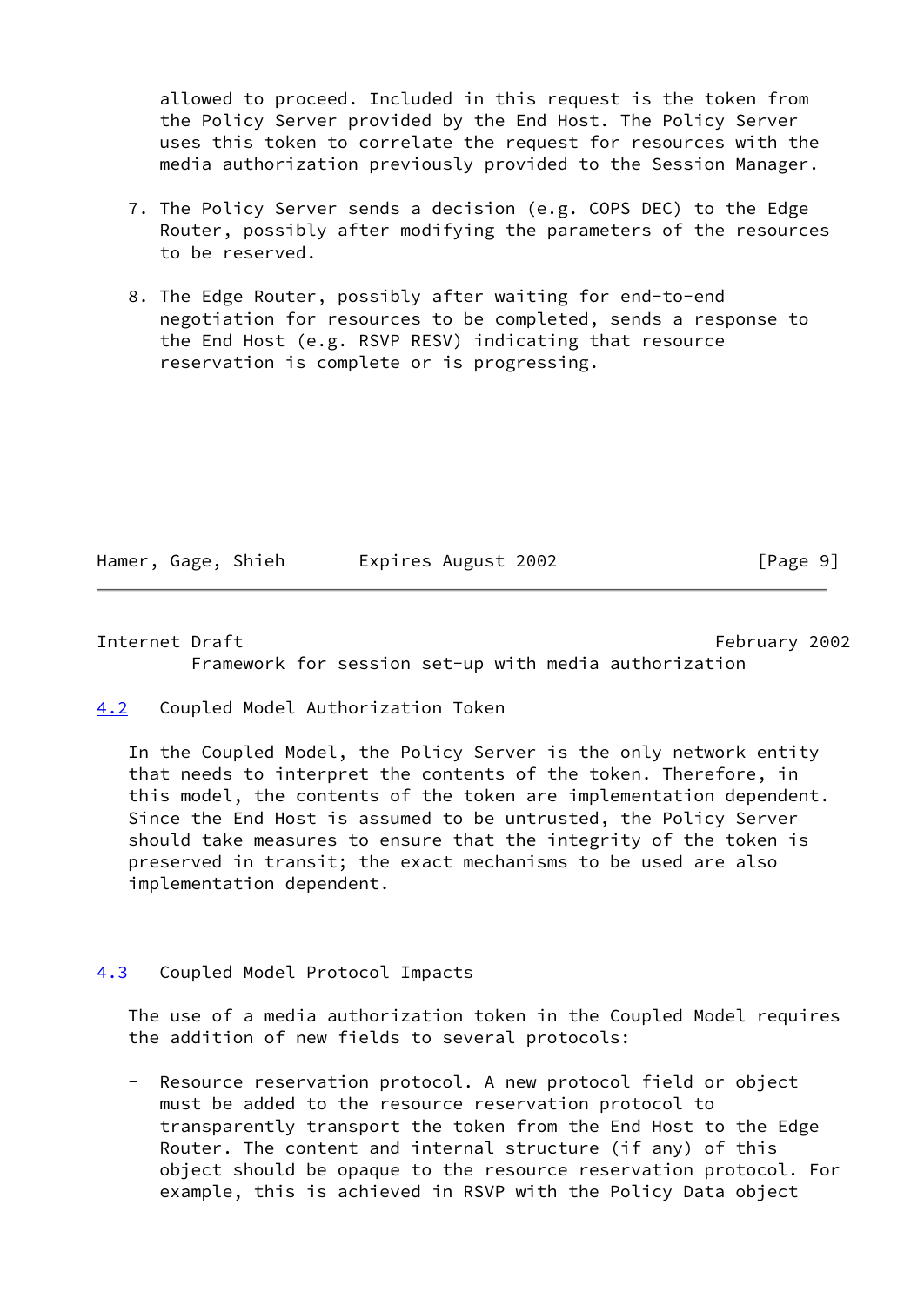allowed to proceed. Included in this request is the token from the Policy Server provided by the End Host. The Policy Server uses this token to correlate the request for resources with the media authorization previously provided to the Session Manager.

- 7. The Policy Server sends a decision (e.g. COPS DEC) to the Edge Router, possibly after modifying the parameters of the resources to be reserved.
- 8. The Edge Router, possibly after waiting for end-to-end negotiation for resources to be completed, sends a response to the End Host (e.g. RSVP RESV) indicating that resource reservation is complete or is progressing.

| Hamer, Gage, Shieh |  | Expires August 2002 |  |
|--------------------|--|---------------------|--|
|                    |  |                     |  |

 $\lceil \text{Page 9} \rceil$ 

<span id="page-10-1"></span>Internet Draft February 2002 Framework for session set-up with media authorization

<span id="page-10-0"></span>[4.2](#page-10-0) Coupled Model Authorization Token

 In the Coupled Model, the Policy Server is the only network entity that needs to interpret the contents of the token. Therefore, in this model, the contents of the token are implementation dependent. Since the End Host is assumed to be untrusted, the Policy Server should take measures to ensure that the integrity of the token is preserved in transit; the exact mechanisms to be used are also implementation dependent.

# <span id="page-10-2"></span>[4.3](#page-10-2) Coupled Model Protocol Impacts

 The use of a media authorization token in the Coupled Model requires the addition of new fields to several protocols:

 - Resource reservation protocol. A new protocol field or object must be added to the resource reservation protocol to transparently transport the token from the End Host to the Edge Router. The content and internal structure (if any) of this object should be opaque to the resource reservation protocol. For example, this is achieved in RSVP with the Policy Data object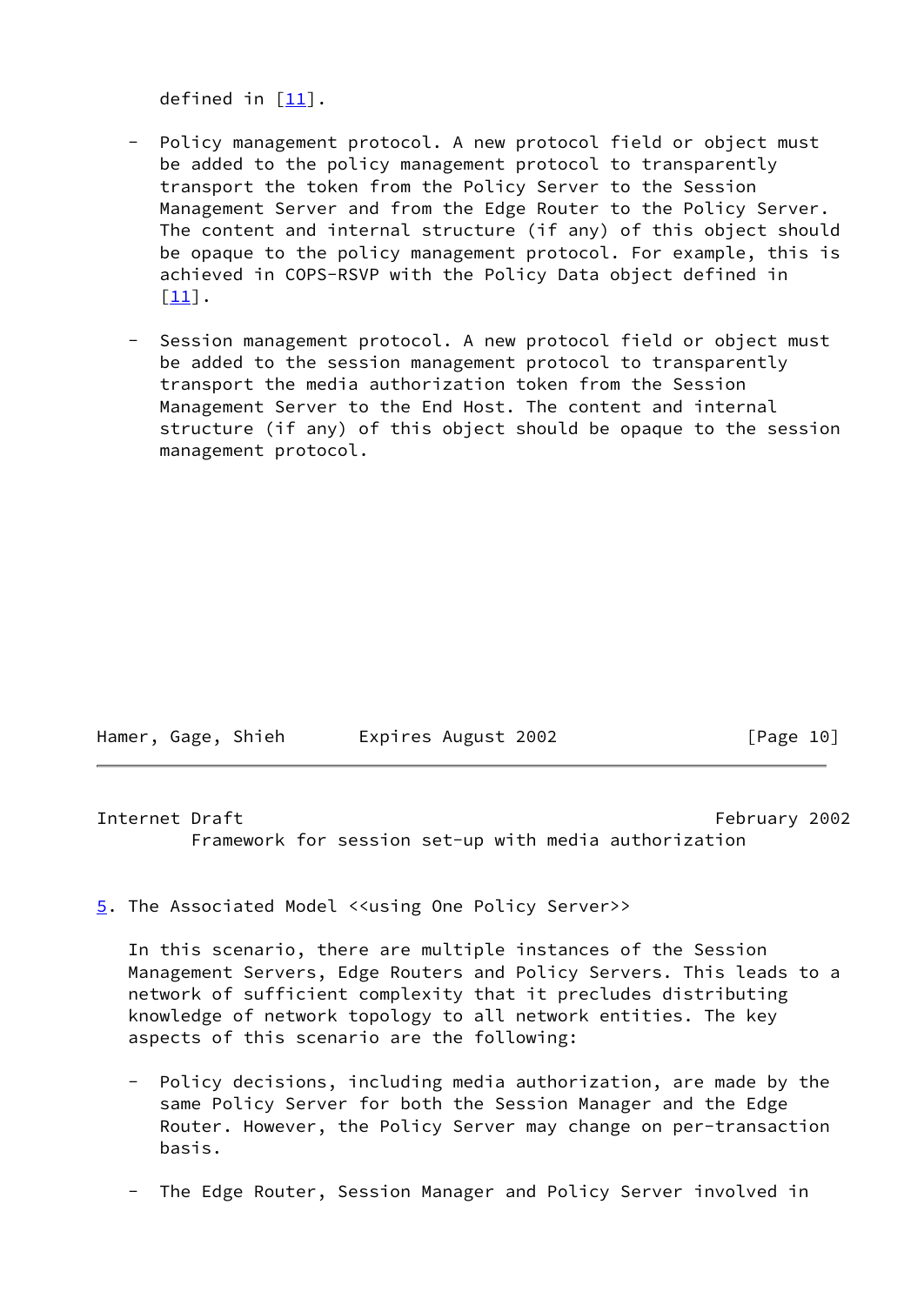defined in  $[11]$  $[11]$ .

- Policy management protocol. A new protocol field or object must be added to the policy management protocol to transparently transport the token from the Policy Server to the Session Management Server and from the Edge Router to the Policy Server. The content and internal structure (if any) of this object should be opaque to the policy management protocol. For example, this is achieved in COPS-RSVP with the Policy Data object defined in [[11\]](#page-27-3).
- Session management protocol. A new protocol field or object must be added to the session management protocol to transparently transport the media authorization token from the Session Management Server to the End Host. The content and internal structure (if any) of this object should be opaque to the session management protocol.

| Hamer, Gage, Shieh |  |  | Expires August 2002 | [Page 10] |  |
|--------------------|--|--|---------------------|-----------|--|
|--------------------|--|--|---------------------|-----------|--|

<span id="page-11-1"></span>Internet Draft February 2002 Framework for session set-up with media authorization

<span id="page-11-0"></span>[5](#page-11-0). The Associated Model <<using One Policy Server>>

 In this scenario, there are multiple instances of the Session Management Servers, Edge Routers and Policy Servers. This leads to a network of sufficient complexity that it precludes distributing knowledge of network topology to all network entities. The key aspects of this scenario are the following:

- Policy decisions, including media authorization, are made by the same Policy Server for both the Session Manager and the Edge Router. However, the Policy Server may change on per-transaction basis.
- The Edge Router, Session Manager and Policy Server involved in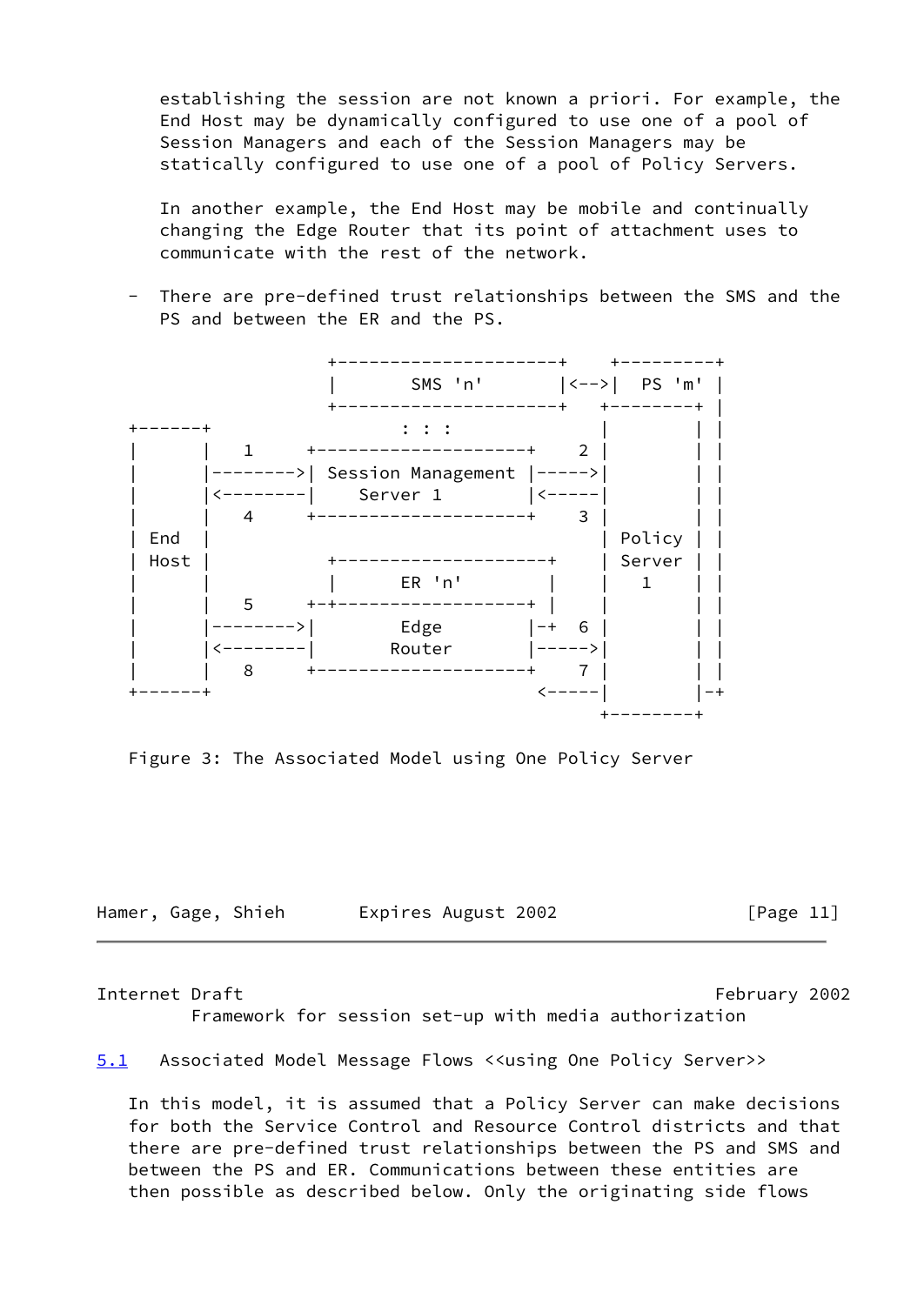establishing the session are not known a priori. For example, the End Host may be dynamically configured to use one of a pool of Session Managers and each of the Session Managers may be statically configured to use one of a pool of Policy Servers.

 In another example, the End Host may be mobile and continually changing the Edge Router that its point of attachment uses to communicate with the rest of the network.

 - There are pre-defined trust relationships between the SMS and the PS and between the ER and the PS.



Figure 3: The Associated Model using One Policy Server

Hamer, Gage, Shieh Expires August 2002 [Page 11]

Internet Draft February 2002

Framework for session set-up with media authorization

<span id="page-12-0"></span>[5.1](#page-12-0) Associated Model Message Flows <<using One Policy Server>>

 In this model, it is assumed that a Policy Server can make decisions for both the Service Control and Resource Control districts and that there are pre-defined trust relationships between the PS and SMS and between the PS and ER. Communications between these entities are then possible as described below. Only the originating side flows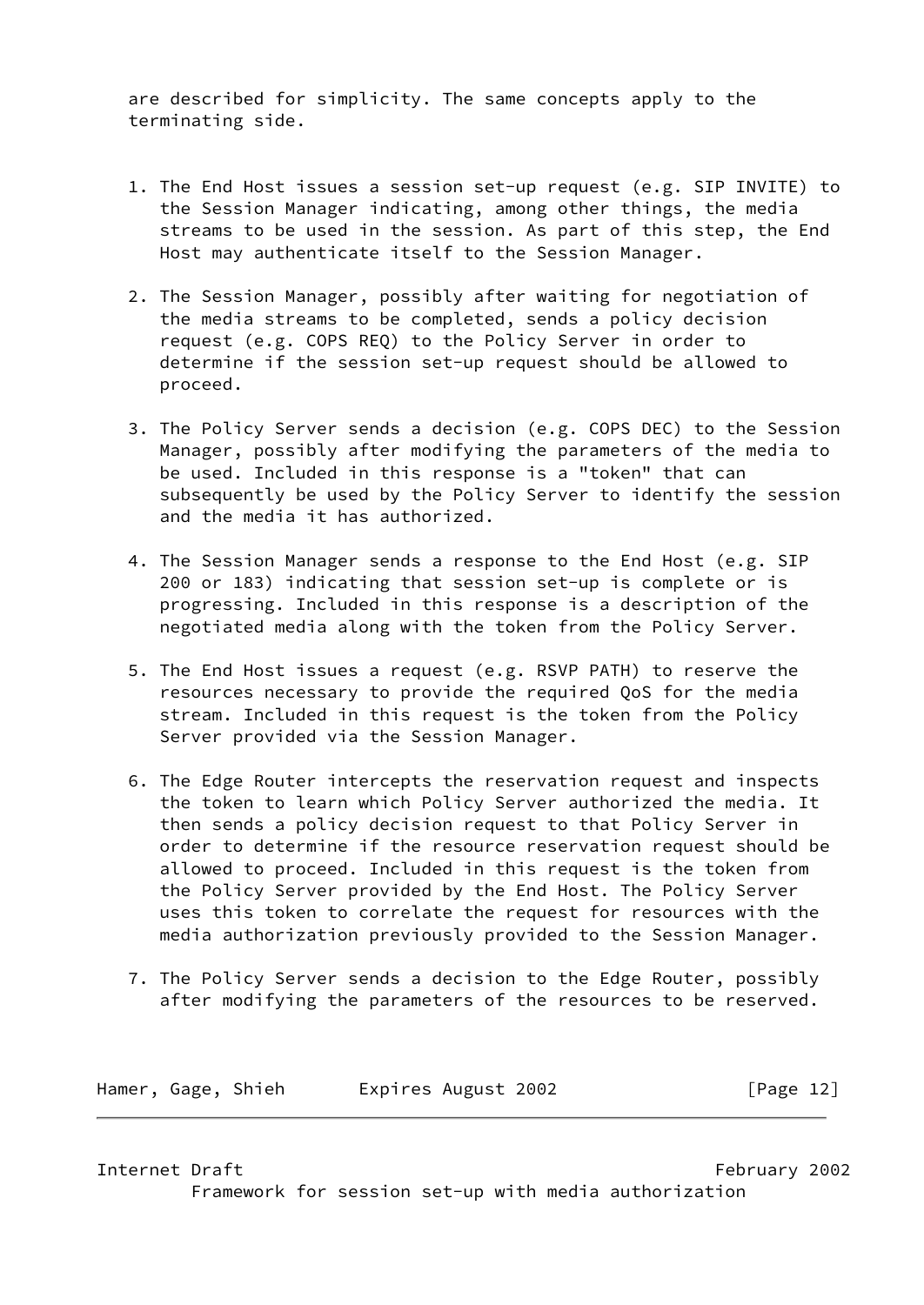are described for simplicity. The same concepts apply to the terminating side.

- 1. The End Host issues a session set-up request (e.g. SIP INVITE) to the Session Manager indicating, among other things, the media streams to be used in the session. As part of this step, the End Host may authenticate itself to the Session Manager.
- 2. The Session Manager, possibly after waiting for negotiation of the media streams to be completed, sends a policy decision request (e.g. COPS REQ) to the Policy Server in order to determine if the session set-up request should be allowed to proceed.
- 3. The Policy Server sends a decision (e.g. COPS DEC) to the Session Manager, possibly after modifying the parameters of the media to be used. Included in this response is a "token" that can subsequently be used by the Policy Server to identify the session and the media it has authorized.
- 4. The Session Manager sends a response to the End Host (e.g. SIP 200 or 183) indicating that session set-up is complete or is progressing. Included in this response is a description of the negotiated media along with the token from the Policy Server.
- 5. The End Host issues a request (e.g. RSVP PATH) to reserve the resources necessary to provide the required QoS for the media stream. Included in this request is the token from the Policy Server provided via the Session Manager.
- 6. The Edge Router intercepts the reservation request and inspects the token to learn which Policy Server authorized the media. It then sends a policy decision request to that Policy Server in order to determine if the resource reservation request should be allowed to proceed. Included in this request is the token from the Policy Server provided by the End Host. The Policy Server uses this token to correlate the request for resources with the media authorization previously provided to the Session Manager.
- 7. The Policy Server sends a decision to the Edge Router, possibly after modifying the parameters of the resources to be reserved.

| Hamer, Gage, Shieh | Expires August 2002 | [Page 12] |
|--------------------|---------------------|-----------|
|--------------------|---------------------|-----------|

<span id="page-13-0"></span>Internet Draft February 2002

Framework for session set-up with media authorization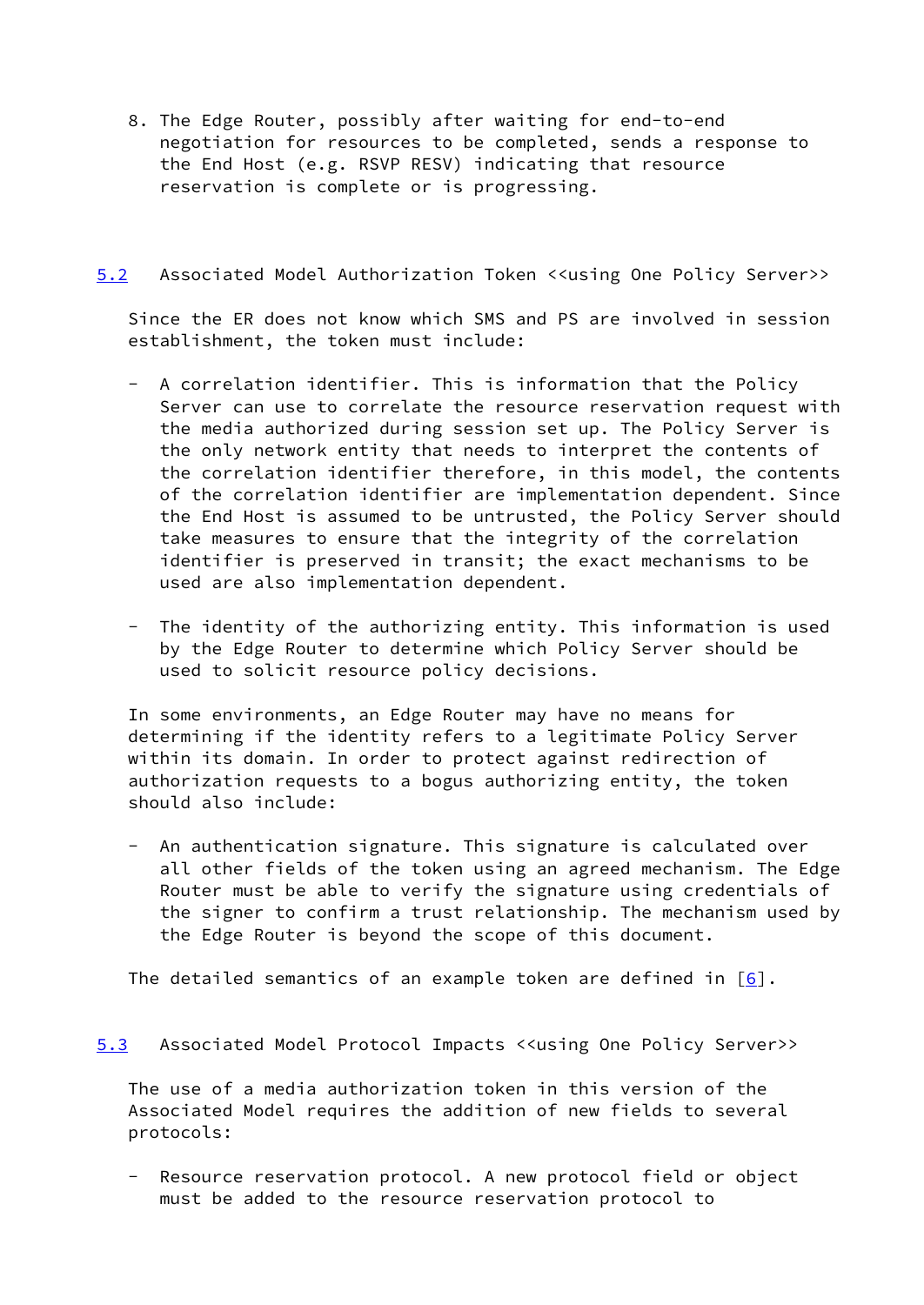8. The Edge Router, possibly after waiting for end-to-end negotiation for resources to be completed, sends a response to the End Host (e.g. RSVP RESV) indicating that resource reservation is complete or is progressing.

# <span id="page-14-0"></span>[5.2](#page-14-0) Associated Model Authorization Token <<using One Policy Server>>

 Since the ER does not know which SMS and PS are involved in session establishment, the token must include:

- A correlation identifier. This is information that the Policy Server can use to correlate the resource reservation request with the media authorized during session set up. The Policy Server is the only network entity that needs to interpret the contents of the correlation identifier therefore, in this model, the contents of the correlation identifier are implementation dependent. Since the End Host is assumed to be untrusted, the Policy Server should take measures to ensure that the integrity of the correlation identifier is preserved in transit; the exact mechanisms to be used are also implementation dependent.
- The identity of the authorizing entity. This information is used by the Edge Router to determine which Policy Server should be used to solicit resource policy decisions.

 In some environments, an Edge Router may have no means for determining if the identity refers to a legitimate Policy Server within its domain. In order to protect against redirection of authorization requests to a bogus authorizing entity, the token should also include:

 - An authentication signature. This signature is calculated over all other fields of the token using an agreed mechanism. The Edge Router must be able to verify the signature using credentials of the signer to confirm a trust relationship. The mechanism used by the Edge Router is beyond the scope of this document.

The detailed semantics of an example token are defined in  $[6]$  $[6]$ .

<span id="page-14-1"></span>[5.3](#page-14-1) Associated Model Protocol Impacts <<using One Policy Server>>

 The use of a media authorization token in this version of the Associated Model requires the addition of new fields to several protocols:

Resource reservation protocol. A new protocol field or object must be added to the resource reservation protocol to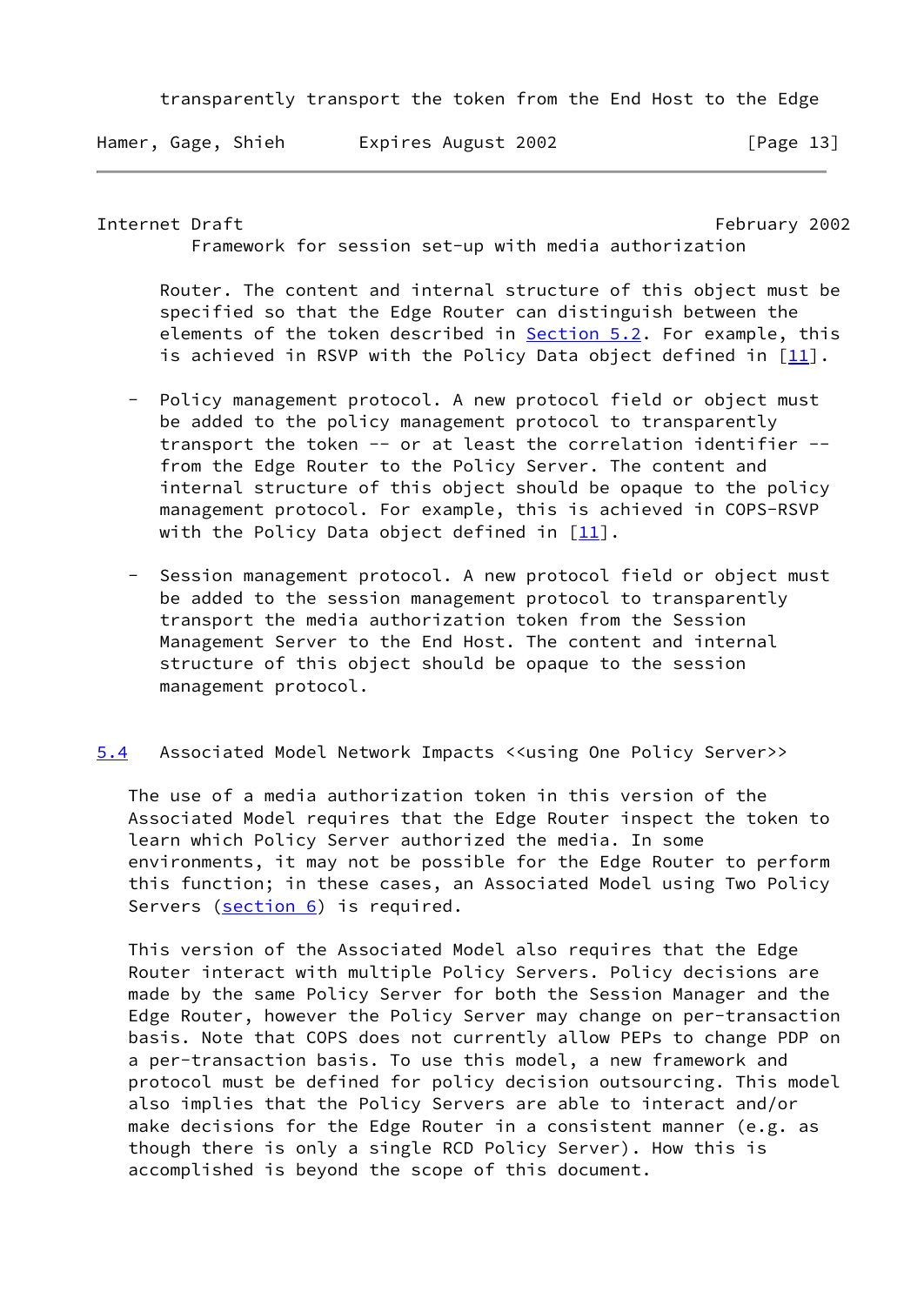transparently transport the token from the End Host to the Edge

Hamer, Gage, Shieh Expires August 2002 [Page 13]

<span id="page-15-1"></span>Internet Draft February 2002

Framework for session set-up with media authorization

 Router. The content and internal structure of this object must be specified so that the Edge Router can distinguish between the elements of the token described in [Section 5.2](#page-14-0). For example, this is achieved in RSVP with the Policy Data object defined in  $[11]$  $[11]$ .

- Policy management protocol. A new protocol field or object must be added to the policy management protocol to transparently transport the token -- or at least the correlation identifier - from the Edge Router to the Policy Server. The content and internal structure of this object should be opaque to the policy management protocol. For example, this is achieved in COPS-RSVP with the Policy Data object defined in  $[11]$  $[11]$ .
- Session management protocol. A new protocol field or object must be added to the session management protocol to transparently transport the media authorization token from the Session Management Server to the End Host. The content and internal structure of this object should be opaque to the session management protocol.
- <span id="page-15-0"></span>[5.4](#page-15-0) Associated Model Network Impacts <<using One Policy Server>>

 The use of a media authorization token in this version of the Associated Model requires that the Edge Router inspect the token to learn which Policy Server authorized the media. In some environments, it may not be possible for the Edge Router to perform this function; in these cases, an Associated Model using Two Policy Servers (section 6) is required.

 This version of the Associated Model also requires that the Edge Router interact with multiple Policy Servers. Policy decisions are made by the same Policy Server for both the Session Manager and the Edge Router, however the Policy Server may change on per-transaction basis. Note that COPS does not currently allow PEPs to change PDP on a per-transaction basis. To use this model, a new framework and protocol must be defined for policy decision outsourcing. This model also implies that the Policy Servers are able to interact and/or make decisions for the Edge Router in a consistent manner (e.g. as though there is only a single RCD Policy Server). How this is accomplished is beyond the scope of this document.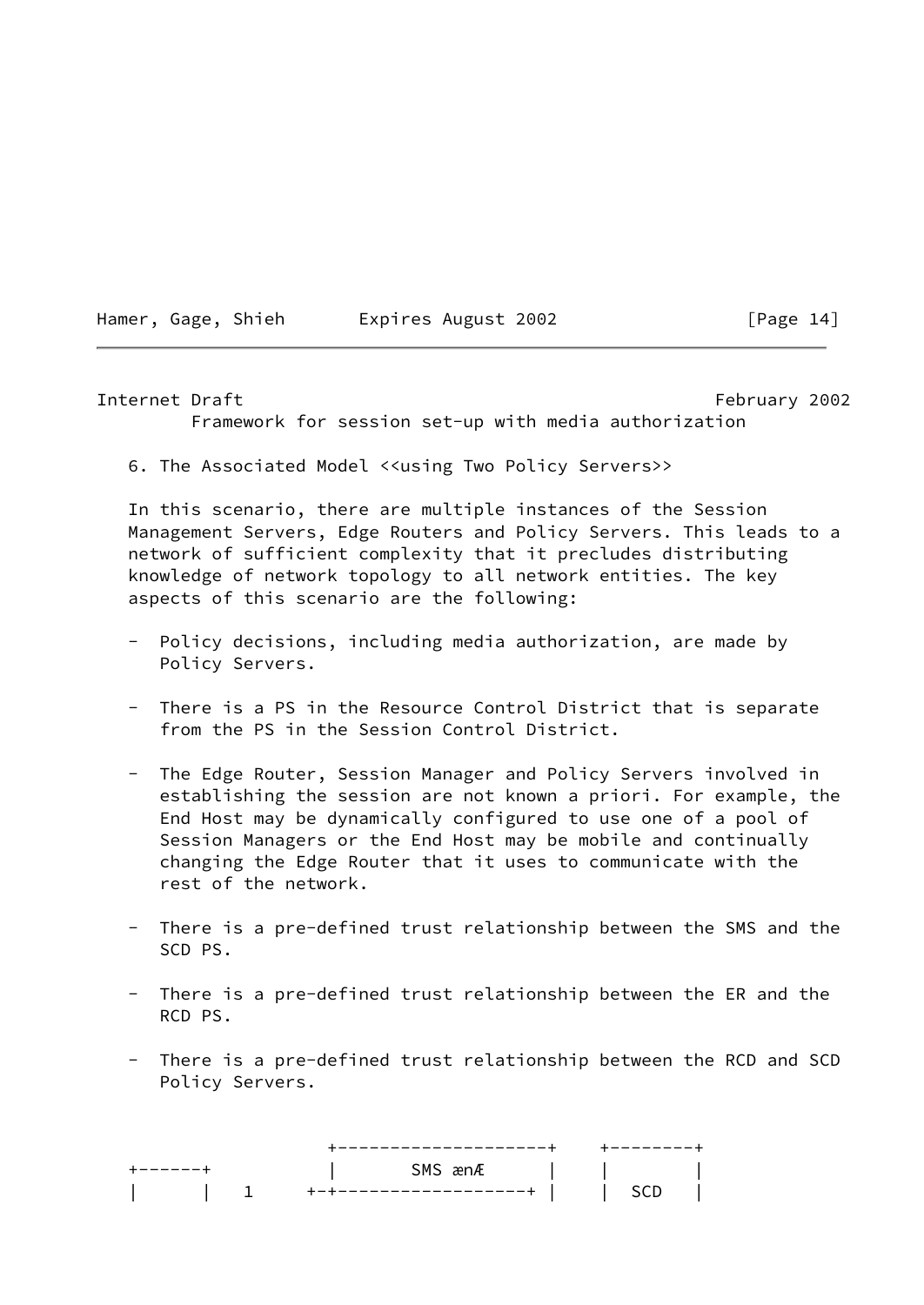Hamer, Gage, Shieh Expires August 2002 [Page 14]

#### <span id="page-16-0"></span>Internet Draft February 2002

Framework for session set-up with media authorization

6. The Associated Model <<using Two Policy Servers>>

 In this scenario, there are multiple instances of the Session Management Servers, Edge Routers and Policy Servers. This leads to a network of sufficient complexity that it precludes distributing knowledge of network topology to all network entities. The key aspects of this scenario are the following:

- Policy decisions, including media authorization, are made by Policy Servers.
- There is a PS in the Resource Control District that is separate from the PS in the Session Control District.
- The Edge Router, Session Manager and Policy Servers involved in establishing the session are not known a priori. For example, the End Host may be dynamically configured to use one of a pool of Session Managers or the End Host may be mobile and continually changing the Edge Router that it uses to communicate with the rest of the network.
- There is a pre-defined trust relationship between the SMS and the SCD PS.
- There is a pre-defined trust relationship between the ER and the RCD PS.
- There is a pre-defined trust relationship between the RCD and SCD Policy Servers.

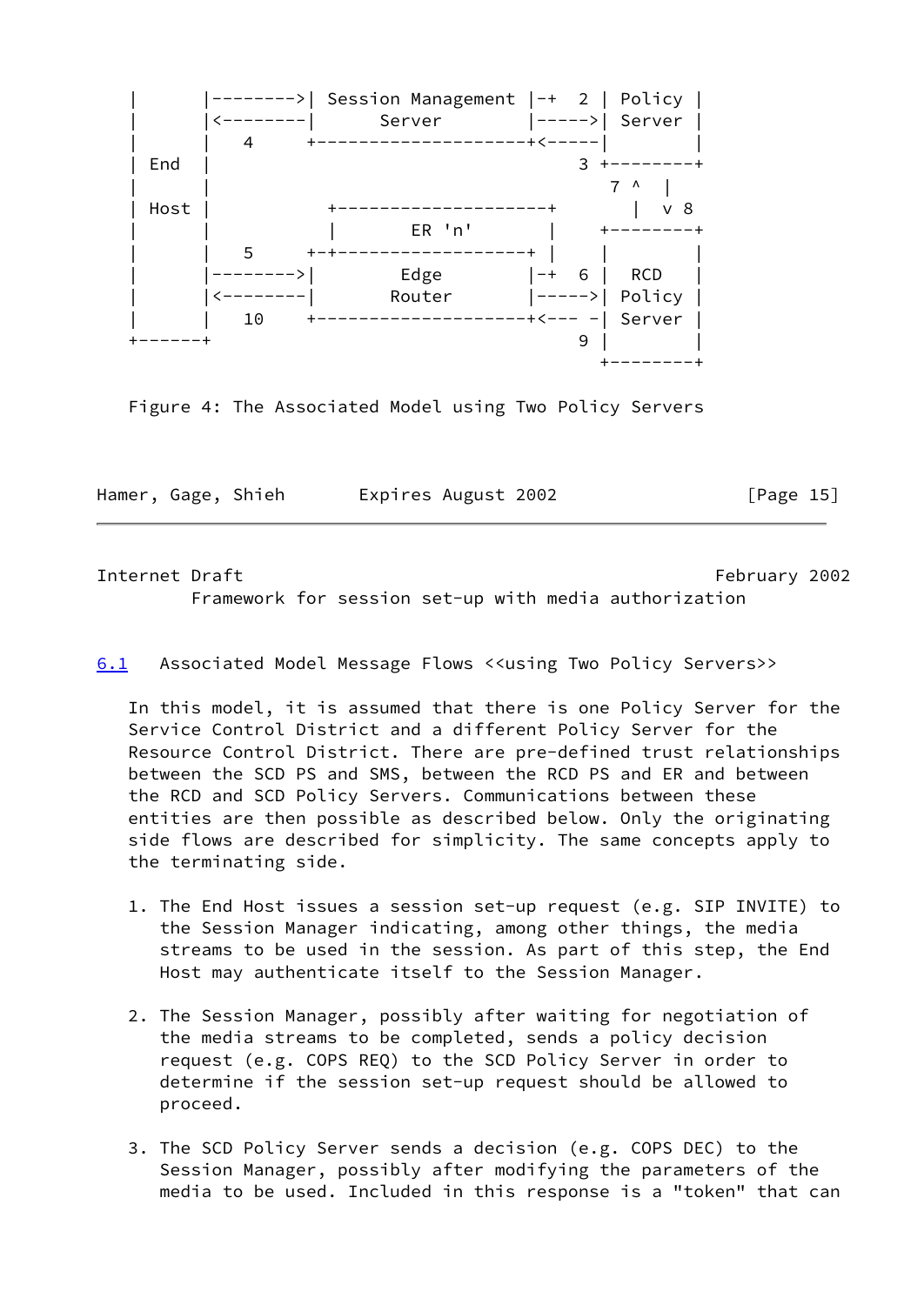

Figure 4: The Associated Model using Two Policy Servers

Hamer, Gage, Shieh Expires August 2002 [Page 15]

<span id="page-17-1"></span>Internet Draft February 2002 Framework for session set-up with media authorization

<span id="page-17-0"></span>[6.1](#page-17-0) Associated Model Message Flows <<using Two Policy Servers>>

 In this model, it is assumed that there is one Policy Server for the Service Control District and a different Policy Server for the Resource Control District. There are pre-defined trust relationships between the SCD PS and SMS, between the RCD PS and ER and between the RCD and SCD Policy Servers. Communications between these entities are then possible as described below. Only the originating side flows are described for simplicity. The same concepts apply to the terminating side.

- 1. The End Host issues a session set-up request (e.g. SIP INVITE) to the Session Manager indicating, among other things, the media streams to be used in the session. As part of this step, the End Host may authenticate itself to the Session Manager.
- 2. The Session Manager, possibly after waiting for negotiation of the media streams to be completed, sends a policy decision request (e.g. COPS REQ) to the SCD Policy Server in order to determine if the session set-up request should be allowed to proceed.
- 3. The SCD Policy Server sends a decision (e.g. COPS DEC) to the Session Manager, possibly after modifying the parameters of the media to be used. Included in this response is a "token" that can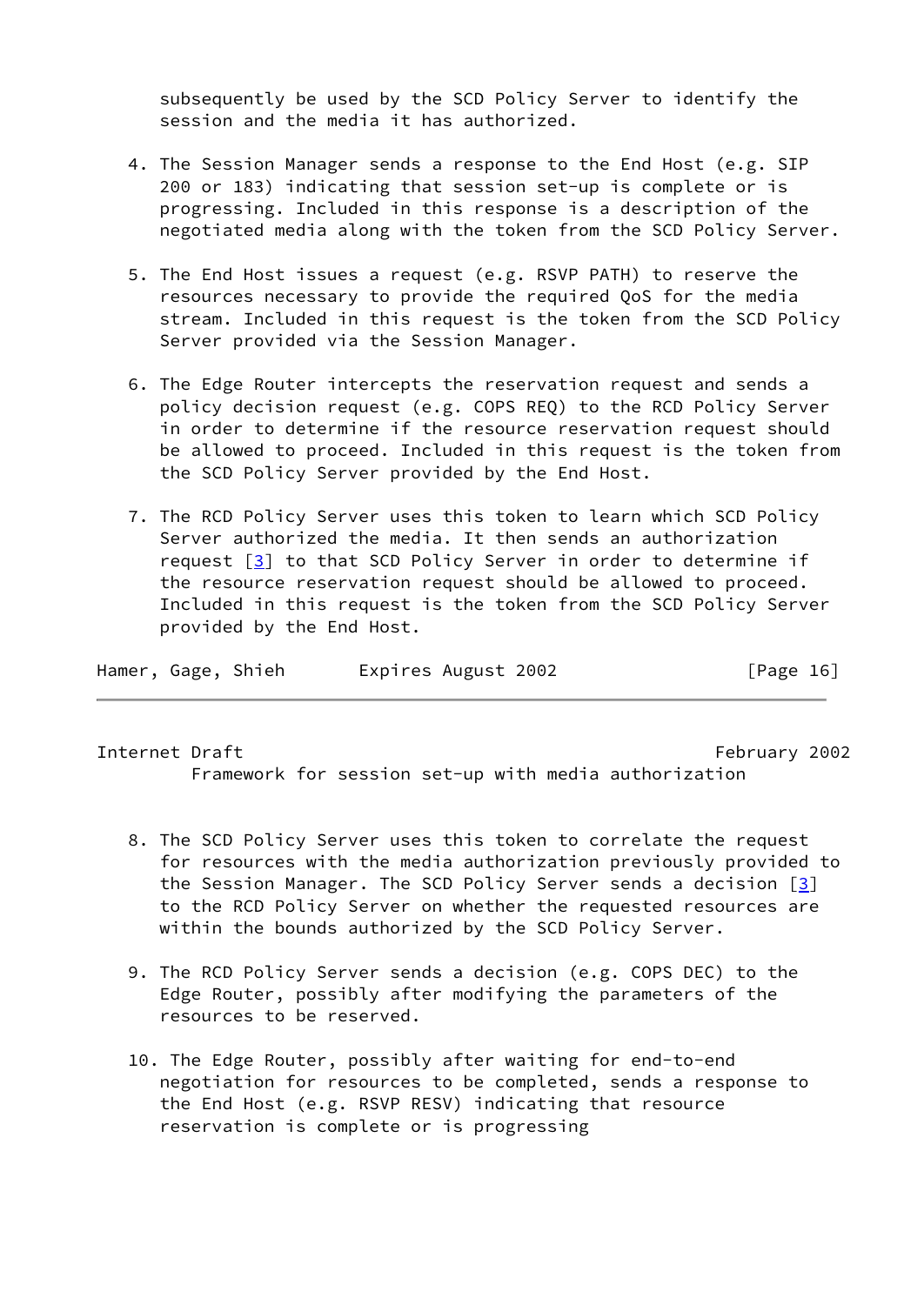subsequently be used by the SCD Policy Server to identify the session and the media it has authorized.

- 4. The Session Manager sends a response to the End Host (e.g. SIP 200 or 183) indicating that session set-up is complete or is progressing. Included in this response is a description of the negotiated media along with the token from the SCD Policy Server.
- 5. The End Host issues a request (e.g. RSVP PATH) to reserve the resources necessary to provide the required QoS for the media stream. Included in this request is the token from the SCD Policy Server provided via the Session Manager.
- 6. The Edge Router intercepts the reservation request and sends a policy decision request (e.g. COPS REQ) to the RCD Policy Server in order to determine if the resource reservation request should be allowed to proceed. Included in this request is the token from the SCD Policy Server provided by the End Host.
- 7. The RCD Policy Server uses this token to learn which SCD Policy Server authorized the media. It then sends an authorization request  $\boxed{3}$  to that SCD Policy Server in order to determine if the resource reservation request should be allowed to proceed. Included in this request is the token from the SCD Policy Server provided by the End Host.

| Hamer, Gage, Shieh |  |  | Expires August 2002 | [Page 16] |
|--------------------|--|--|---------------------|-----------|
|--------------------|--|--|---------------------|-----------|

<span id="page-18-0"></span>Internet Draft February 2002 Framework for session set-up with media authorization

- 8. The SCD Policy Server uses this token to correlate the request for resources with the media authorization previously provided to the Session Manager. The SCD Policy Server sends a decision  $\lceil 3 \rceil$  to the RCD Policy Server on whether the requested resources are within the bounds authorized by the SCD Policy Server.
- 9. The RCD Policy Server sends a decision (e.g. COPS DEC) to the Edge Router, possibly after modifying the parameters of the resources to be reserved.
- 10. The Edge Router, possibly after waiting for end-to-end negotiation for resources to be completed, sends a response to the End Host (e.g. RSVP RESV) indicating that resource reservation is complete or is progressing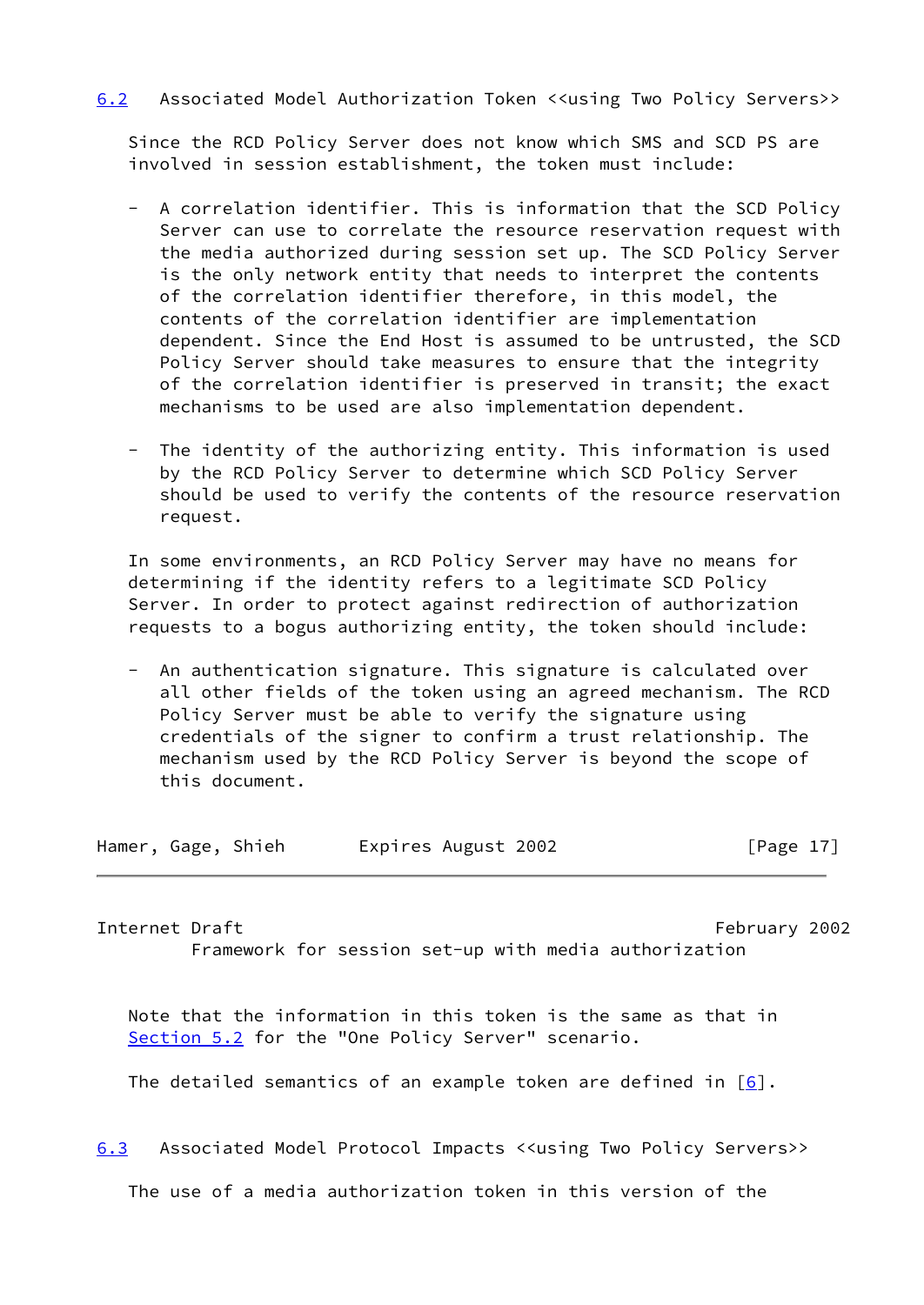# <span id="page-19-0"></span>[6.2](#page-19-0) Associated Model Authorization Token <<using Two Policy Servers>>

 Since the RCD Policy Server does not know which SMS and SCD PS are involved in session establishment, the token must include:

- A correlation identifier. This is information that the SCD Policy Server can use to correlate the resource reservation request with the media authorized during session set up. The SCD Policy Server is the only network entity that needs to interpret the contents of the correlation identifier therefore, in this model, the contents of the correlation identifier are implementation dependent. Since the End Host is assumed to be untrusted, the SCD Policy Server should take measures to ensure that the integrity of the correlation identifier is preserved in transit; the exact mechanisms to be used are also implementation dependent.
- The identity of the authorizing entity. This information is used by the RCD Policy Server to determine which SCD Policy Server should be used to verify the contents of the resource reservation request.

 In some environments, an RCD Policy Server may have no means for determining if the identity refers to a legitimate SCD Policy Server. In order to protect against redirection of authorization requests to a bogus authorizing entity, the token should include:

 - An authentication signature. This signature is calculated over all other fields of the token using an agreed mechanism. The RCD Policy Server must be able to verify the signature using credentials of the signer to confirm a trust relationship. The mechanism used by the RCD Policy Server is beyond the scope of this document.

| Hamer, Gage, Shieh |  |  | Expires August 2002 | [Page 17] |
|--------------------|--|--|---------------------|-----------|
|--------------------|--|--|---------------------|-----------|

<span id="page-19-2"></span>Internet Draft February 2002 Framework for session set-up with media authorization

 Note that the information in this token is the same as that in [Section 5.2](#page-14-0) for the "One Policy Server" scenario.

The detailed semantics of an example token are defined in  $[6]$  $[6]$ .

<span id="page-19-1"></span>[6.3](#page-19-1) Associated Model Protocol Impacts <<using Two Policy Servers>>

The use of a media authorization token in this version of the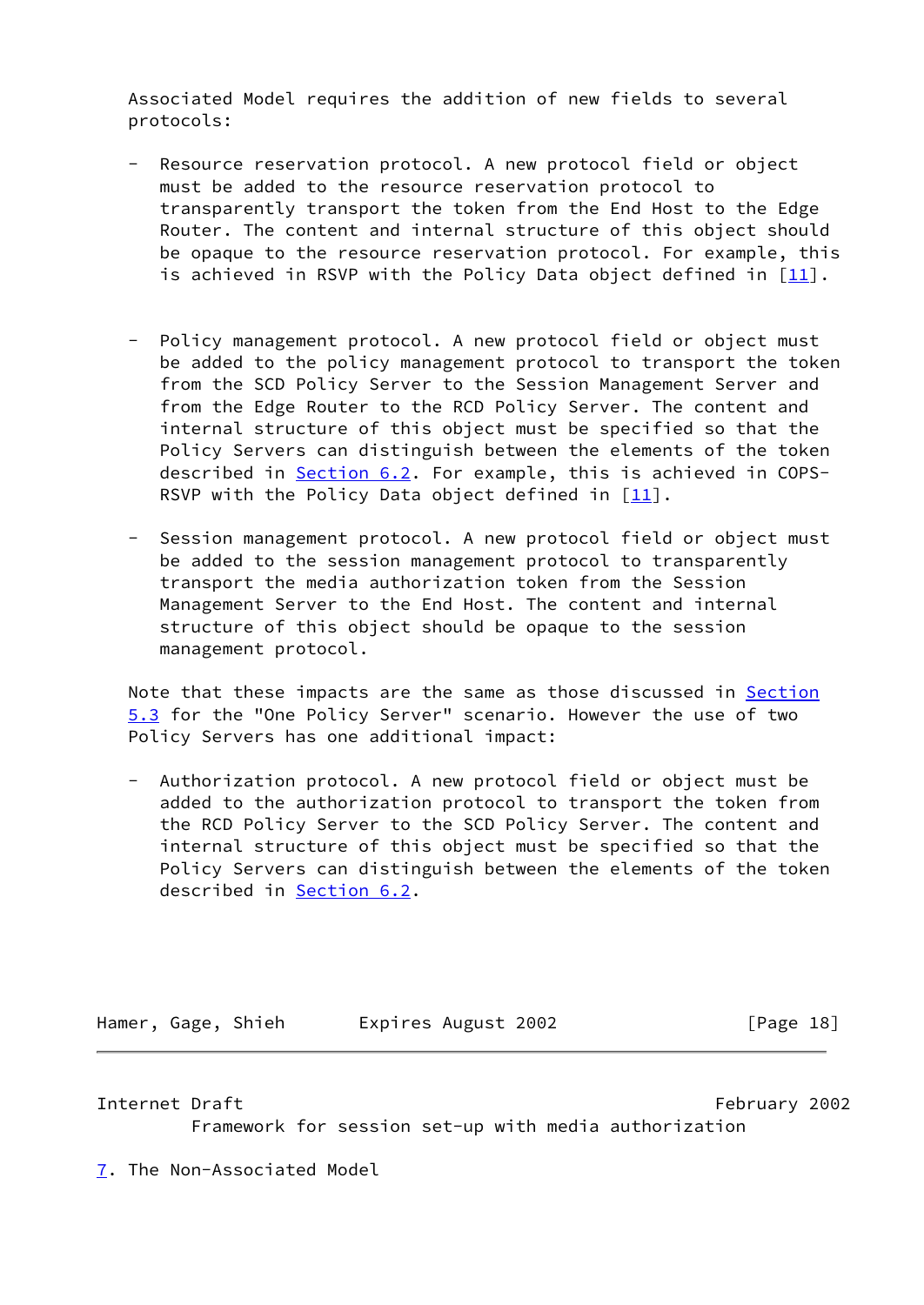Associated Model requires the addition of new fields to several protocols:

- Resource reservation protocol. A new protocol field or object must be added to the resource reservation protocol to transparently transport the token from the End Host to the Edge Router. The content and internal structure of this object should be opaque to the resource reservation protocol. For example, this is achieved in RSVP with the Policy Data object defined in  $[11]$  $[11]$ .
- Policy management protocol. A new protocol field or object must be added to the policy management protocol to transport the token from the SCD Policy Server to the Session Management Server and from the Edge Router to the RCD Policy Server. The content and internal structure of this object must be specified so that the Policy Servers can distinguish between the elements of the token described in [Section 6.2](#page-19-0). For example, this is achieved in COPS- RSVP with the Policy Data object defined in  $[11]$  $[11]$ .
- Session management protocol. A new protocol field or object must be added to the session management protocol to transparently transport the media authorization token from the Session Management Server to the End Host. The content and internal structure of this object should be opaque to the session management protocol.

Note that these impacts are the same as those discussed in **[Section](#page-14-1)**  [5.3](#page-14-1) for the "One Policy Server" scenario. However the use of two Policy Servers has one additional impact:

 - Authorization protocol. A new protocol field or object must be added to the authorization protocol to transport the token from the RCD Policy Server to the SCD Policy Server. The content and internal structure of this object must be specified so that the Policy Servers can distinguish between the elements of the token described in [Section 6.2](#page-19-0).

Hamer, Gage, Shieh Expires August 2002 [Page 18]

<span id="page-20-1"></span>Internet Draft February 2002

Framework for session set-up with media authorization

<span id="page-20-0"></span>[7](#page-20-0). The Non-Associated Model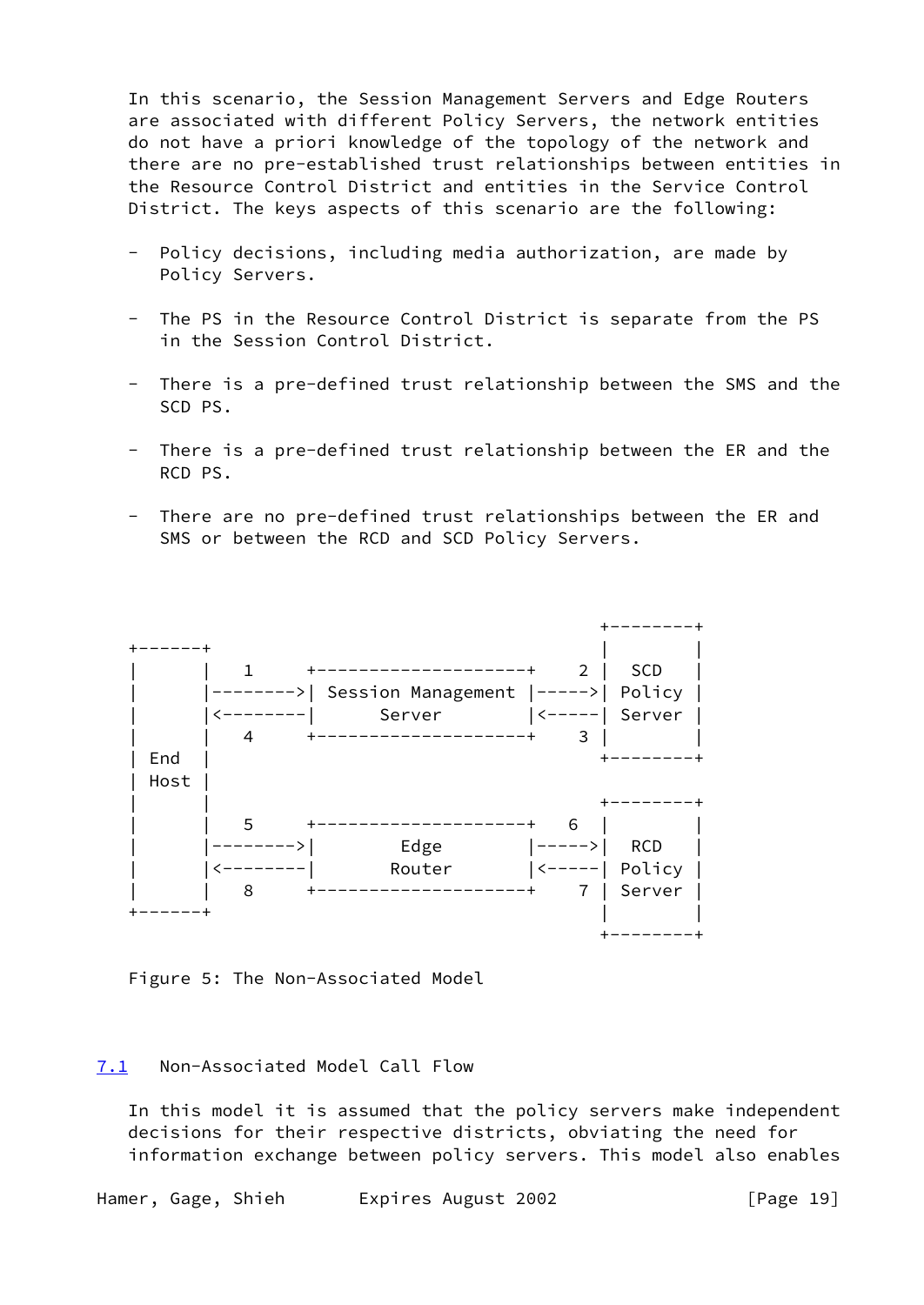In this scenario, the Session Management Servers and Edge Routers are associated with different Policy Servers, the network entities do not have a priori knowledge of the topology of the network and there are no pre-established trust relationships between entities in the Resource Control District and entities in the Service Control District. The keys aspects of this scenario are the following:

- Policy decisions, including media authorization, are made by Policy Servers.
- The PS in the Resource Control District is separate from the PS in the Session Control District.
- There is a pre-defined trust relationship between the SMS and the SCD PS.
- There is a pre-defined trust relationship between the ER and the RCD PS.
- There are no pre-defined trust relationships between the ER and SMS or between the RCD and SCD Policy Servers.



Figure 5: The Non-Associated Model

### <span id="page-21-0"></span>[7.1](#page-21-0) Non-Associated Model Call Flow

 In this model it is assumed that the policy servers make independent decisions for their respective districts, obviating the need for information exchange between policy servers. This model also enables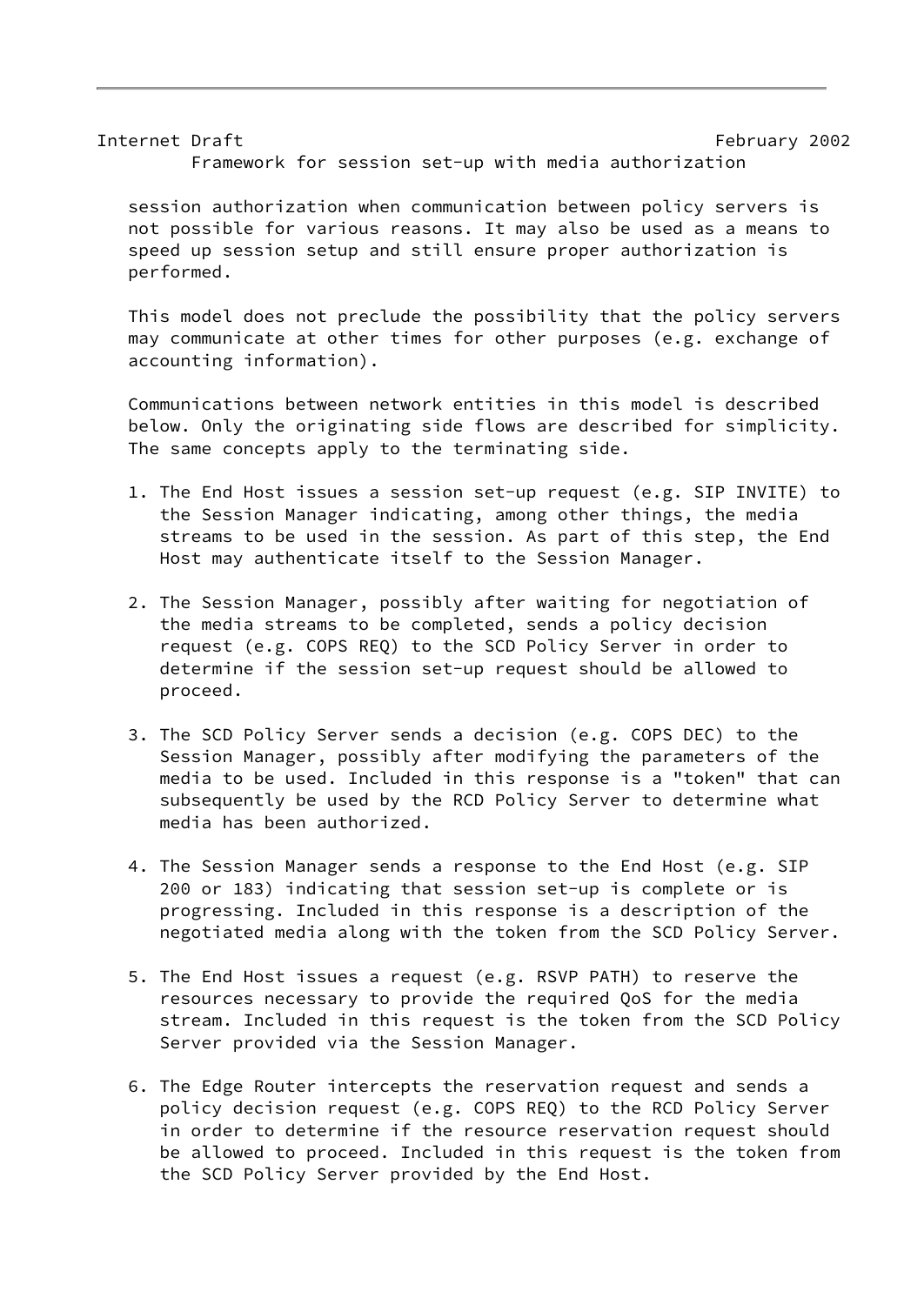Internet Draft February 2002 Framework for session set-up with media authorization

 session authorization when communication between policy servers is not possible for various reasons. It may also be used as a means to speed up session setup and still ensure proper authorization is performed.

 This model does not preclude the possibility that the policy servers may communicate at other times for other purposes (e.g. exchange of accounting information).

 Communications between network entities in this model is described below. Only the originating side flows are described for simplicity. The same concepts apply to the terminating side.

- 1. The End Host issues a session set-up request (e.g. SIP INVITE) to the Session Manager indicating, among other things, the media streams to be used in the session. As part of this step, the End Host may authenticate itself to the Session Manager.
- 2. The Session Manager, possibly after waiting for negotiation of the media streams to be completed, sends a policy decision request (e.g. COPS REQ) to the SCD Policy Server in order to determine if the session set-up request should be allowed to proceed.
- 3. The SCD Policy Server sends a decision (e.g. COPS DEC) to the Session Manager, possibly after modifying the parameters of the media to be used. Included in this response is a "token" that can subsequently be used by the RCD Policy Server to determine what media has been authorized.
- 4. The Session Manager sends a response to the End Host (e.g. SIP 200 or 183) indicating that session set-up is complete or is progressing. Included in this response is a description of the negotiated media along with the token from the SCD Policy Server.
- 5. The End Host issues a request (e.g. RSVP PATH) to reserve the resources necessary to provide the required QoS for the media stream. Included in this request is the token from the SCD Policy Server provided via the Session Manager.
- 6. The Edge Router intercepts the reservation request and sends a policy decision request (e.g. COPS REQ) to the RCD Policy Server in order to determine if the resource reservation request should be allowed to proceed. Included in this request is the token from the SCD Policy Server provided by the End Host.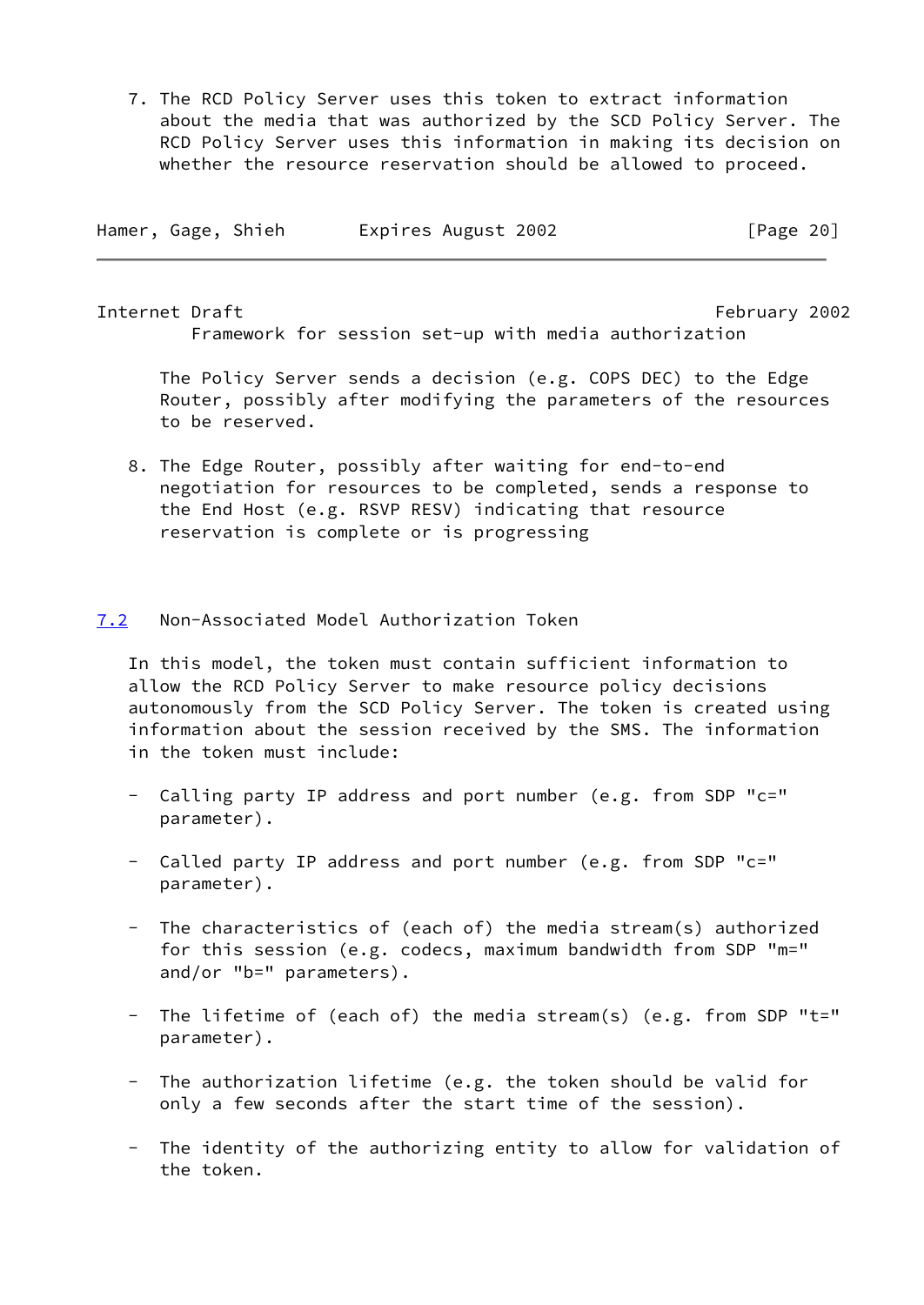7. The RCD Policy Server uses this token to extract information about the media that was authorized by the SCD Policy Server. The RCD Policy Server uses this information in making its decision on whether the resource reservation should be allowed to proceed.

| Hamer, Gage, Shieh |  | Expires August 2002 | [Page 20] |
|--------------------|--|---------------------|-----------|
|                    |  |                     |           |

<span id="page-23-1"></span>Internet Draft February 2002 Framework for session set-up with media authorization

 The Policy Server sends a decision (e.g. COPS DEC) to the Edge Router, possibly after modifying the parameters of the resources to be reserved.

 8. The Edge Router, possibly after waiting for end-to-end negotiation for resources to be completed, sends a response to the End Host (e.g. RSVP RESV) indicating that resource reservation is complete or is progressing

# <span id="page-23-0"></span>[7.2](#page-23-0) Non-Associated Model Authorization Token

 In this model, the token must contain sufficient information to allow the RCD Policy Server to make resource policy decisions autonomously from the SCD Policy Server. The token is created using information about the session received by the SMS. The information in the token must include:

- Calling party IP address and port number (e.g. from SDP  $"c="$ parameter).
- Called party IP address and port number (e.g. from SDP "c=" parameter).
- The characteristics of (each of) the media stream(s) authorized for this session (e.g. codecs, maximum bandwidth from SDP "m=" and/or "b=" parameters).
- The lifetime of (each of) the media stream(s) (e.g. from SDP "t=" parameter).
- The authorization lifetime (e.g. the token should be valid for only a few seconds after the start time of the session).
- The identity of the authorizing entity to allow for validation of the token.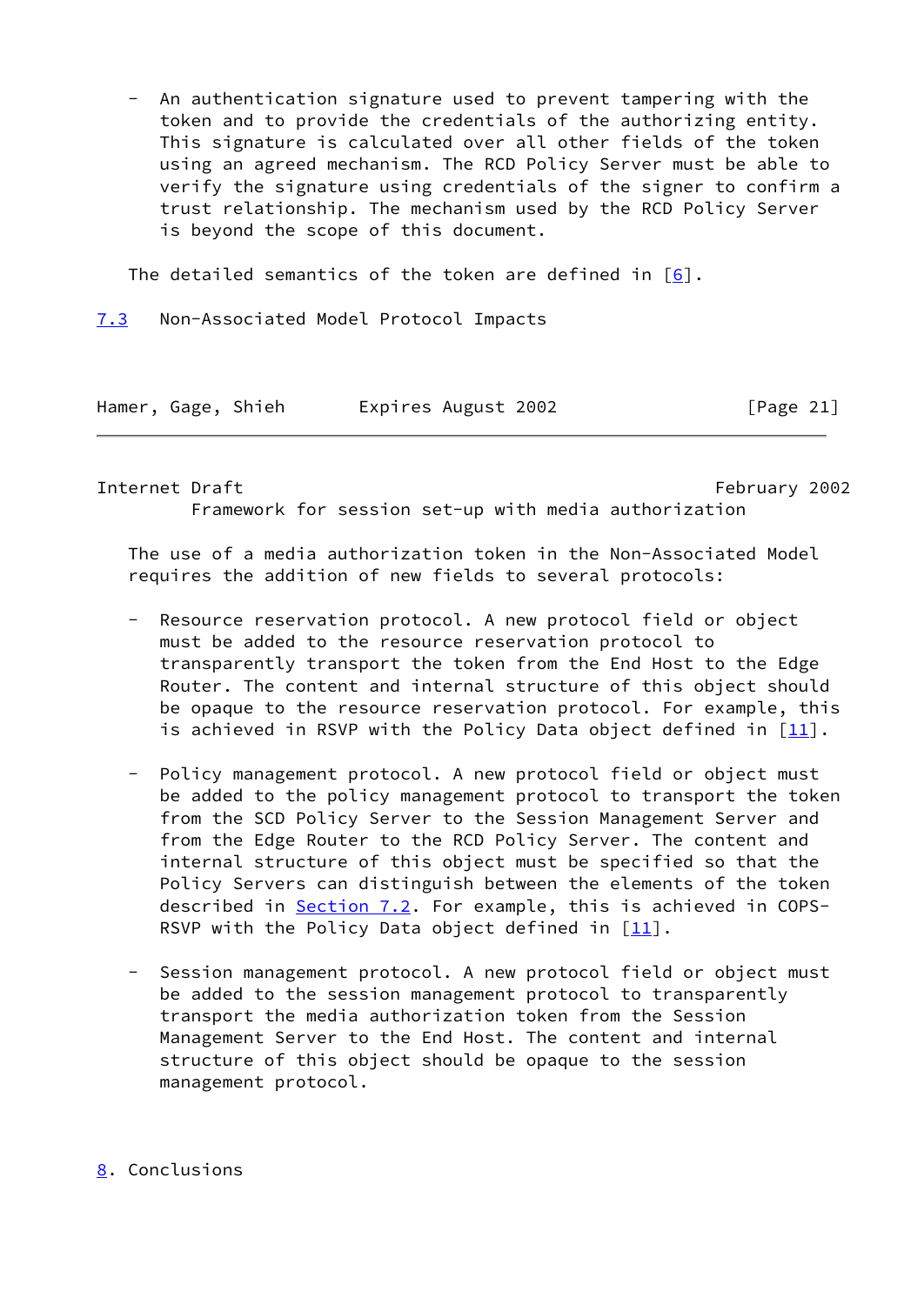An authentication signature used to prevent tampering with the token and to provide the credentials of the authorizing entity. This signature is calculated over all other fields of the token using an agreed mechanism. The RCD Policy Server must be able to verify the signature using credentials of the signer to confirm a trust relationship. The mechanism used by the RCD Policy Server is beyond the scope of this document.

The detailed semantics of the token are defined in  $[6]$  $[6]$ .

<span id="page-24-0"></span>[7.3](#page-24-0) Non-Associated Model Protocol Impacts

| Hamer, Gage, Shieh |  |  | Expires August 2002 | [Page 21] |
|--------------------|--|--|---------------------|-----------|
|--------------------|--|--|---------------------|-----------|

<span id="page-24-2"></span>Internet Draft February 2002 Framework for session set-up with media authorization

 The use of a media authorization token in the Non-Associated Model requires the addition of new fields to several protocols:

- Resource reservation protocol. A new protocol field or object must be added to the resource reservation protocol to transparently transport the token from the End Host to the Edge Router. The content and internal structure of this object should be opaque to the resource reservation protocol. For example, this is achieved in RSVP with the Policy Data object defined in  $[11]$  $[11]$ .
- Policy management protocol. A new protocol field or object must be added to the policy management protocol to transport the token from the SCD Policy Server to the Session Management Server and from the Edge Router to the RCD Policy Server. The content and internal structure of this object must be specified so that the Policy Servers can distinguish between the elements of the token described in [Section 7.2](#page-23-0). For example, this is achieved in COPS-RSVP with the Policy Data object defined in  $[11]$  $[11]$ .
- Session management protocol. A new protocol field or object must be added to the session management protocol to transparently transport the media authorization token from the Session Management Server to the End Host. The content and internal structure of this object should be opaque to the session management protocol.

# <span id="page-24-1"></span>[8](#page-24-1). Conclusions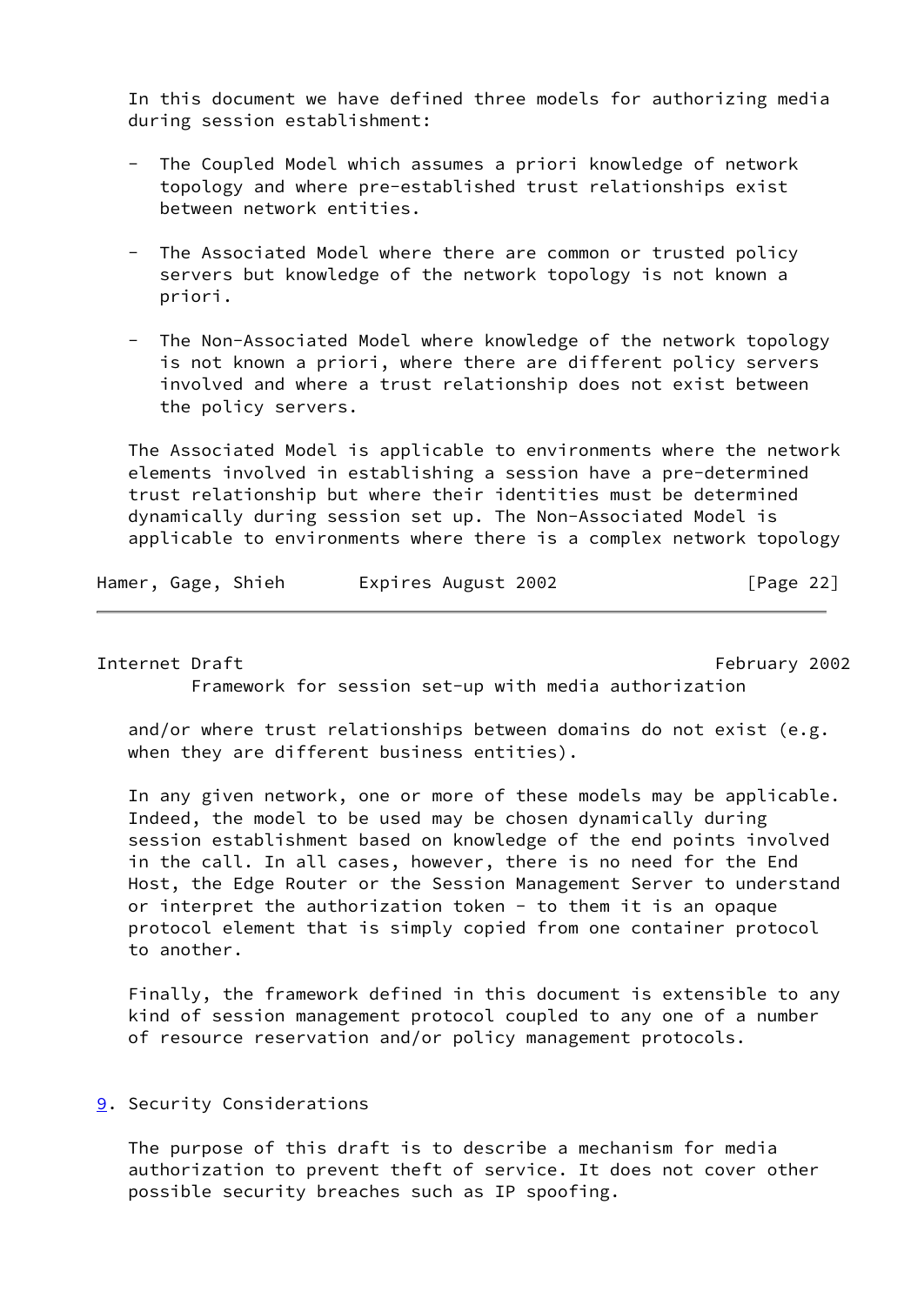In this document we have defined three models for authorizing media during session establishment:

- The Coupled Model which assumes a priori knowledge of network topology and where pre-established trust relationships exist between network entities.
- The Associated Model where there are common or trusted policy servers but knowledge of the network topology is not known a priori.

 - The Non-Associated Model where knowledge of the network topology is not known a priori, where there are different policy servers involved and where a trust relationship does not exist between the policy servers.

 The Associated Model is applicable to environments where the network elements involved in establishing a session have a pre-determined trust relationship but where their identities must be determined dynamically during session set up. The Non-Associated Model is applicable to environments where there is a complex network topology

| Hamer, Gage, Shieh |  |  | Expires August 2002 | [Page 22] |
|--------------------|--|--|---------------------|-----------|
|--------------------|--|--|---------------------|-----------|

<span id="page-25-1"></span>Internet Draft February 2002

Framework for session set-up with media authorization

 and/or where trust relationships between domains do not exist (e.g. when they are different business entities).

 In any given network, one or more of these models may be applicable. Indeed, the model to be used may be chosen dynamically during session establishment based on knowledge of the end points involved in the call. In all cases, however, there is no need for the End Host, the Edge Router or the Session Management Server to understand or interpret the authorization token - to them it is an opaque protocol element that is simply copied from one container protocol to another.

 Finally, the framework defined in this document is extensible to any kind of session management protocol coupled to any one of a number of resource reservation and/or policy management protocols.

# <span id="page-25-0"></span>[9](#page-25-0). Security Considerations

 The purpose of this draft is to describe a mechanism for media authorization to prevent theft of service. It does not cover other possible security breaches such as IP spoofing.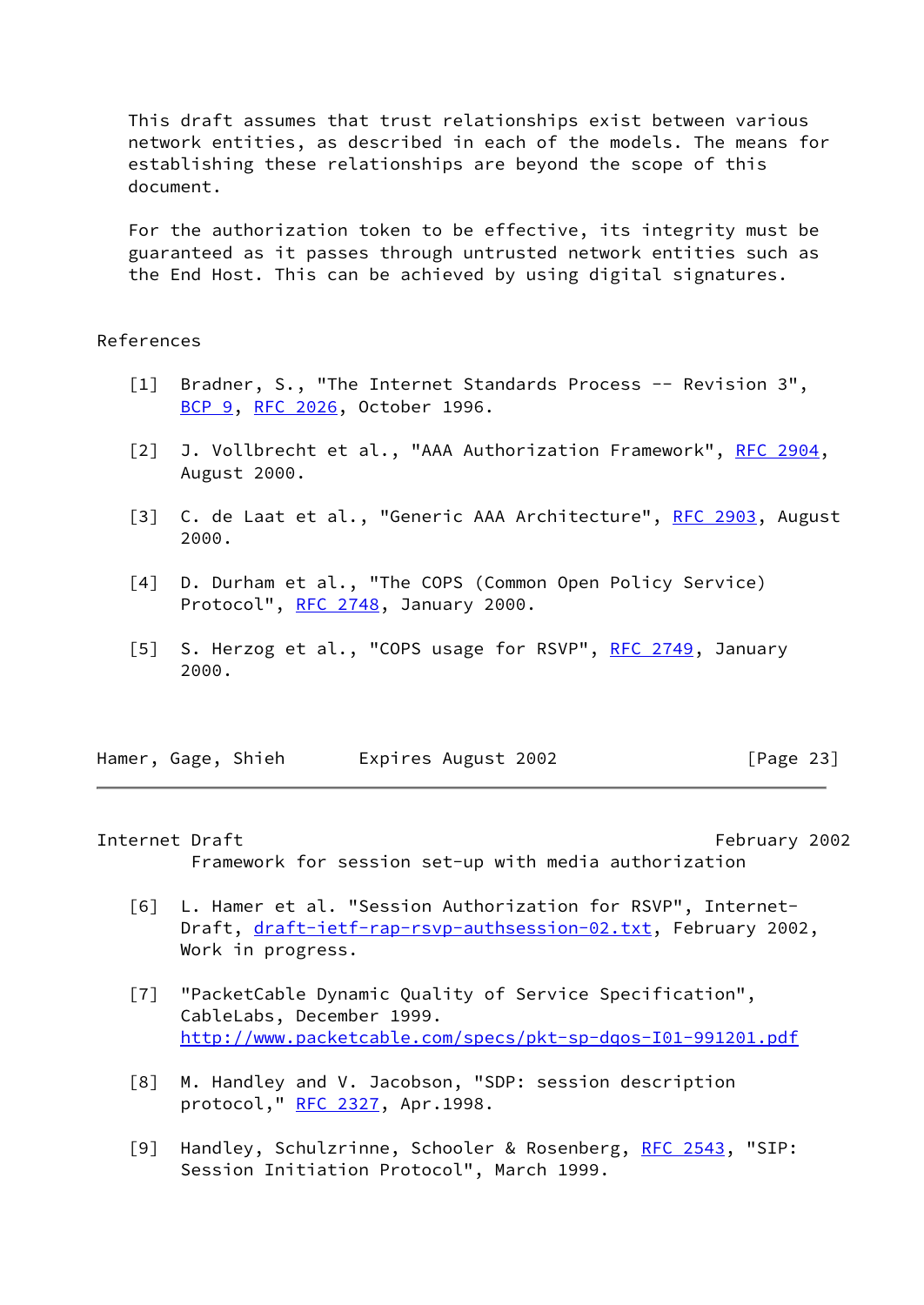This draft assumes that trust relationships exist between various network entities, as described in each of the models. The means for establishing these relationships are beyond the scope of this document.

 For the authorization token to be effective, its integrity must be guaranteed as it passes through untrusted network entities such as the End Host. This can be achieved by using digital signatures.

## References

- <span id="page-26-0"></span> [1] Bradner, S., "The Internet Standards Process -- Revision 3", [BCP 9](https://datatracker.ietf.org/doc/pdf/bcp9), [RFC 2026,](https://datatracker.ietf.org/doc/pdf/rfc2026) October 1996.
- <span id="page-26-4"></span>[2] J. Vollbrecht et al., "AAA Authorization Framework", [RFC 2904](https://datatracker.ietf.org/doc/pdf/rfc2904), August 2000.
- <span id="page-26-7"></span>[3] C. de Laat et al., "Generic AAA Architecture", [RFC 2903,](https://datatracker.ietf.org/doc/pdf/rfc2903) August 2000.
- [4] D. Durham et al., "The COPS (Common Open Policy Service) Protocol", [RFC 2748](https://datatracker.ietf.org/doc/pdf/rfc2748), January 2000.
- <span id="page-26-6"></span>[5] S. Herzog et al., "COPS usage for RSVP", [RFC 2749](https://datatracker.ietf.org/doc/pdf/rfc2749), January 2000.

Hamer, Gage, Shieh Expires August 2002 [Page 23]

#### <span id="page-26-1"></span>Internet Draft February 2002

- Framework for session set-up with media authorization
- <span id="page-26-5"></span> [6] L. Hamer et al. "Session Authorization for RSVP", Internet Draft, [draft-ietf-rap-rsvp-authsession-02.txt](https://datatracker.ietf.org/doc/pdf/draft-ietf-rap-rsvp-authsession-02.txt), February 2002, Work in progress.
- <span id="page-26-3"></span> [7] "PacketCable Dynamic Quality of Service Specification", CableLabs, December 1999. <http://www.packetcable.com/specs/pkt-sp-dqos-I01-991201.pdf>
- [8] M. Handley and V. Jacobson, "SDP: session description protocol," [RFC 2327](https://datatracker.ietf.org/doc/pdf/rfc2327), Apr.1998.
- <span id="page-26-2"></span>[9] Handley, Schulzrinne, Schooler & Rosenberg, [RFC 2543](https://datatracker.ietf.org/doc/pdf/rfc2543), "SIP: Session Initiation Protocol", March 1999.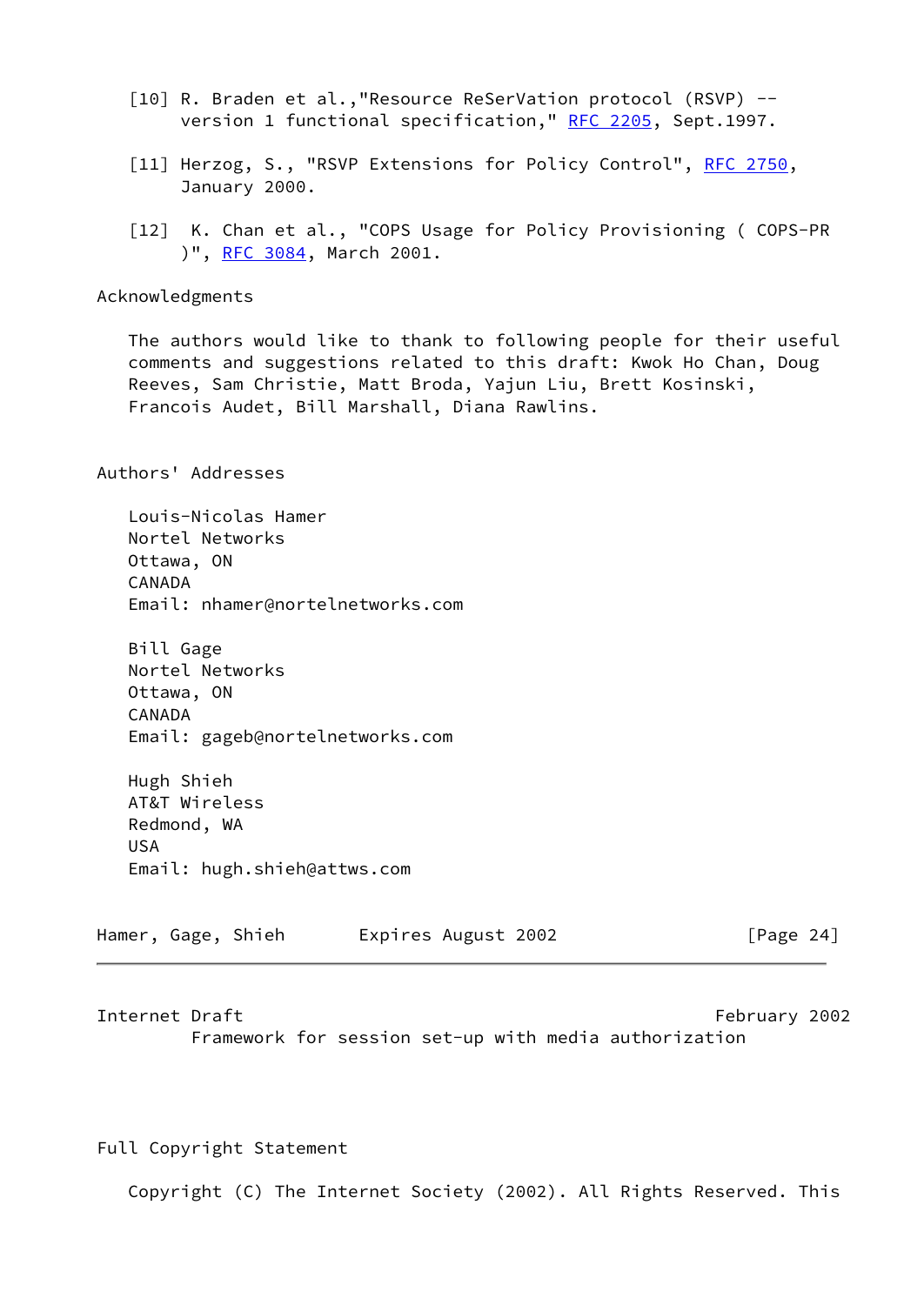- <span id="page-27-1"></span> [10] R. Braden et al.,"Resource ReSerVation protocol (RSVP) -- version 1 functional specification," [RFC 2205](https://datatracker.ietf.org/doc/pdf/rfc2205), Sept.1997.
- <span id="page-27-3"></span>[11] Herzog, S., "RSVP Extensions for Policy Control", [RFC 2750,](https://datatracker.ietf.org/doc/pdf/rfc2750) January 2000.
- <span id="page-27-2"></span>[12] K. Chan et al., "COPS Usage for Policy Provisioning ( COPS-PR )", [RFC 3084](https://datatracker.ietf.org/doc/pdf/rfc3084), March 2001.

# Acknowledgments

 The authors would like to thank to following people for their useful comments and suggestions related to this draft: Kwok Ho Chan, Doug Reeves, Sam Christie, Matt Broda, Yajun Liu, Brett Kosinski, Francois Audet, Bill Marshall, Diana Rawlins.

Authors' Addresses

 Louis-Nicolas Hamer Nortel Networks Ottawa, ON CANADA Email: nhamer@nortelnetworks.com

 Bill Gage Nortel Networks Ottawa, ON CANADA Email: gageb@nortelnetworks.com

 Hugh Shieh AT&T Wireless Redmond, WA USA Email: hugh.shieh@attws.com

| Hamer, Gage, Shieh |  |  | Expires August 2002 | [Page 24] |
|--------------------|--|--|---------------------|-----------|
|--------------------|--|--|---------------------|-----------|

<span id="page-27-0"></span>Internet Draft February 2002 Framework for session set-up with media authorization

Full Copyright Statement

Copyright (C) The Internet Society (2002). All Rights Reserved. This